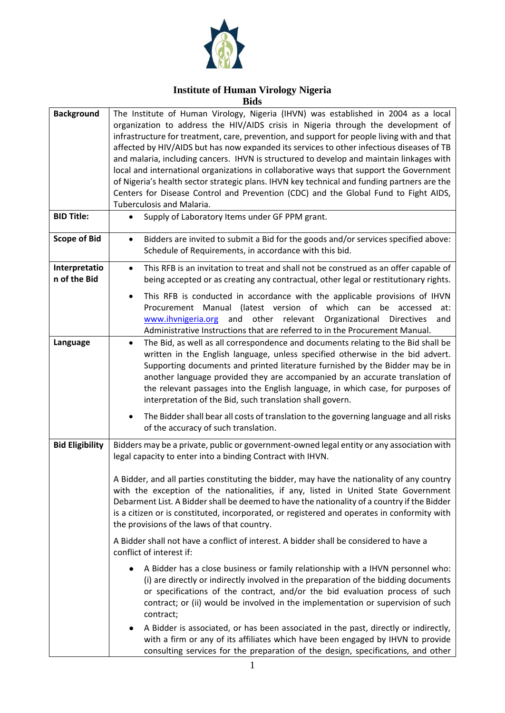

#### **Institute of Human Virology Nigeria Bids**

| <b>Background</b>             | The Institute of Human Virology, Nigeria (IHVN) was established in 2004 as a local<br>organization to address the HIV/AIDS crisis in Nigeria through the development of<br>infrastructure for treatment, care, prevention, and support for people living with and that<br>affected by HIV/AIDS but has now expanded its services to other infectious diseases of TB<br>and malaria, including cancers. IHVN is structured to develop and maintain linkages with                                   |
|-------------------------------|---------------------------------------------------------------------------------------------------------------------------------------------------------------------------------------------------------------------------------------------------------------------------------------------------------------------------------------------------------------------------------------------------------------------------------------------------------------------------------------------------|
|                               | local and international organizations in collaborative ways that support the Government<br>of Nigeria's health sector strategic plans. IHVN key technical and funding partners are the<br>Centers for Disease Control and Prevention (CDC) and the Global Fund to Fight AIDS,<br>Tuberculosis and Malaria.                                                                                                                                                                                        |
| <b>BID Title:</b>             | Supply of Laboratory Items under GF PPM grant.                                                                                                                                                                                                                                                                                                                                                                                                                                                    |
| <b>Scope of Bid</b>           | Bidders are invited to submit a Bid for the goods and/or services specified above:<br>$\bullet$<br>Schedule of Requirements, in accordance with this bid.                                                                                                                                                                                                                                                                                                                                         |
| Interpretatio<br>n of the Bid | This RFB is an invitation to treat and shall not be construed as an offer capable of<br>$\bullet$<br>being accepted or as creating any contractual, other legal or restitutionary rights.                                                                                                                                                                                                                                                                                                         |
|                               | This RFB is conducted in accordance with the applicable provisions of IHVN<br>Procurement Manual (latest version of which can be accessed<br>at:<br>www.ihvnigeria.org and other relevant Organizational Directives<br>and<br>Administrative Instructions that are referred to in the Procurement Manual.                                                                                                                                                                                         |
| Language                      | The Bid, as well as all correspondence and documents relating to the Bid shall be<br>$\bullet$<br>written in the English language, unless specified otherwise in the bid advert.<br>Supporting documents and printed literature furnished by the Bidder may be in<br>another language provided they are accompanied by an accurate translation of<br>the relevant passages into the English language, in which case, for purposes of<br>interpretation of the Bid, such translation shall govern. |
|                               | The Bidder shall bear all costs of translation to the governing language and all risks<br>of the accuracy of such translation.                                                                                                                                                                                                                                                                                                                                                                    |
| <b>Bid Eligibility</b>        | Bidders may be a private, public or government-owned legal entity or any association with<br>legal capacity to enter into a binding Contract with IHVN.                                                                                                                                                                                                                                                                                                                                           |
|                               | A Bidder, and all parties constituting the bidder, may have the nationality of any country<br>with the exception of the nationalities, if any, listed in United State Government<br>Debarment List. A Bidder shall be deemed to have the nationality of a country if the Bidder<br>is a citizen or is constituted, incorporated, or registered and operates in conformity with<br>the provisions of the laws of that country.                                                                     |
|                               | A Bidder shall not have a conflict of interest. A bidder shall be considered to have a<br>conflict of interest if:                                                                                                                                                                                                                                                                                                                                                                                |
|                               | A Bidder has a close business or family relationship with a IHVN personnel who:<br>(i) are directly or indirectly involved in the preparation of the bidding documents<br>or specifications of the contract, and/or the bid evaluation process of such<br>contract; or (ii) would be involved in the implementation or supervision of such<br>contract;                                                                                                                                           |
|                               | A Bidder is associated, or has been associated in the past, directly or indirectly,<br>with a firm or any of its affiliates which have been engaged by IHVN to provide<br>consulting services for the preparation of the design, specifications, and other                                                                                                                                                                                                                                        |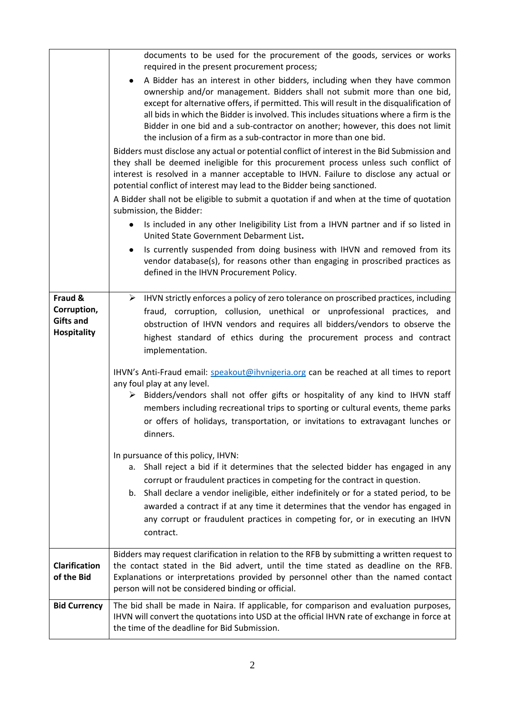|                                                                  | documents to be used for the procurement of the goods, services or works<br>required in the present procurement process;                                                                                                                                                                                                                                                                                                                                                                             |
|------------------------------------------------------------------|------------------------------------------------------------------------------------------------------------------------------------------------------------------------------------------------------------------------------------------------------------------------------------------------------------------------------------------------------------------------------------------------------------------------------------------------------------------------------------------------------|
|                                                                  | A Bidder has an interest in other bidders, including when they have common<br>ownership and/or management. Bidders shall not submit more than one bid,<br>except for alternative offers, if permitted. This will result in the disqualification of<br>all bids in which the Bidder is involved. This includes situations where a firm is the<br>Bidder in one bid and a sub-contractor on another; however, this does not limit<br>the inclusion of a firm as a sub-contractor in more than one bid. |
|                                                                  | Bidders must disclose any actual or potential conflict of interest in the Bid Submission and<br>they shall be deemed ineligible for this procurement process unless such conflict of<br>interest is resolved in a manner acceptable to IHVN. Failure to disclose any actual or<br>potential conflict of interest may lead to the Bidder being sanctioned.                                                                                                                                            |
|                                                                  | A Bidder shall not be eligible to submit a quotation if and when at the time of quotation<br>submission, the Bidder:                                                                                                                                                                                                                                                                                                                                                                                 |
|                                                                  | Is included in any other Ineligibility List from a IHVN partner and if so listed in<br>United State Government Debarment List.                                                                                                                                                                                                                                                                                                                                                                       |
|                                                                  | Is currently suspended from doing business with IHVN and removed from its<br>vendor database(s), for reasons other than engaging in proscribed practices as<br>defined in the IHVN Procurement Policy.                                                                                                                                                                                                                                                                                               |
| Fraud &<br>Corruption,<br><b>Gifts and</b><br><b>Hospitality</b> | $\triangleright$ IHVN strictly enforces a policy of zero tolerance on proscribed practices, including<br>fraud, corruption, collusion, unethical or unprofessional practices, and<br>obstruction of IHVN vendors and requires all bidders/vendors to observe the<br>highest standard of ethics during the procurement process and contract<br>implementation.                                                                                                                                        |
|                                                                  | IHVN's Anti-Fraud email: speakout@ihvnigeria.org can be reached at all times to report<br>any foul play at any level.<br>Bidders/vendors shall not offer gifts or hospitality of any kind to IHVN staff<br>➤<br>members including recreational trips to sporting or cultural events, theme parks<br>or offers of holidays, transportation, or invitations to extravagant lunches or<br>dinners.                                                                                                      |
|                                                                  | In pursuance of this policy, IHVN:<br>a. Shall reject a bid if it determines that the selected bidder has engaged in any<br>corrupt or fraudulent practices in competing for the contract in question.<br>b. Shall declare a vendor ineligible, either indefinitely or for a stated period, to be<br>awarded a contract if at any time it determines that the vendor has engaged in<br>any corrupt or fraudulent practices in competing for, or in executing an IHVN<br>contract.                    |
| <b>Clarification</b><br>of the Bid                               | Bidders may request clarification in relation to the RFB by submitting a written request to<br>the contact stated in the Bid advert, until the time stated as deadline on the RFB.<br>Explanations or interpretations provided by personnel other than the named contact<br>person will not be considered binding or official.                                                                                                                                                                       |
| <b>Bid Currency</b>                                              | The bid shall be made in Naira. If applicable, for comparison and evaluation purposes,<br>IHVN will convert the quotations into USD at the official IHVN rate of exchange in force at<br>the time of the deadline for Bid Submission.                                                                                                                                                                                                                                                                |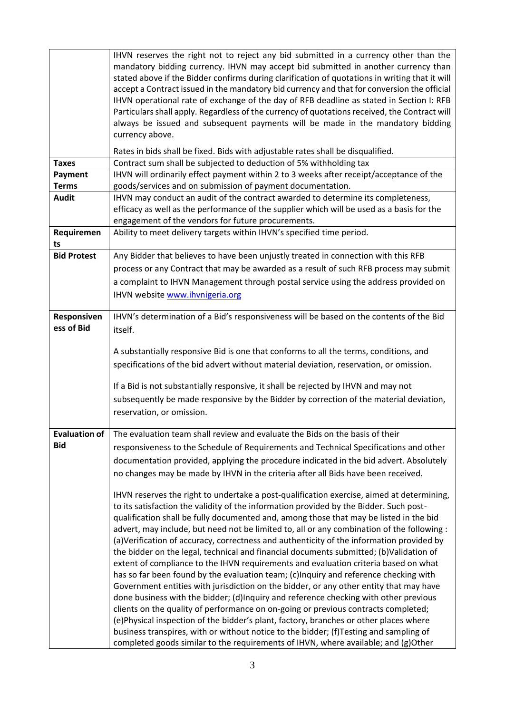|                                                                                                                                                                                                  | IHVN reserves the right not to reject any bid submitted in a currency other than the                                                                                                    |  |
|--------------------------------------------------------------------------------------------------------------------------------------------------------------------------------------------------|-----------------------------------------------------------------------------------------------------------------------------------------------------------------------------------------|--|
|                                                                                                                                                                                                  | mandatory bidding currency. IHVN may accept bid submitted in another currency than                                                                                                      |  |
|                                                                                                                                                                                                  | stated above if the Bidder confirms during clarification of quotations in writing that it will                                                                                          |  |
|                                                                                                                                                                                                  | accept a Contract issued in the mandatory bid currency and that for conversion the official<br>IHVN operational rate of exchange of the day of RFB deadline as stated in Section I: RFB |  |
|                                                                                                                                                                                                  | Particulars shall apply. Regardless of the currency of quotations received, the Contract will                                                                                           |  |
|                                                                                                                                                                                                  | always be issued and subsequent payments will be made in the mandatory bidding                                                                                                          |  |
|                                                                                                                                                                                                  | currency above.                                                                                                                                                                         |  |
|                                                                                                                                                                                                  | Rates in bids shall be fixed. Bids with adjustable rates shall be disqualified.                                                                                                         |  |
| <b>Taxes</b>                                                                                                                                                                                     | Contract sum shall be subjected to deduction of 5% withholding tax                                                                                                                      |  |
| IHVN will ordinarily effect payment within 2 to 3 weeks after receipt/acceptance of the<br>Payment<br>goods/services and on submission of payment documentation.<br><b>Terms</b><br><b>Audit</b> |                                                                                                                                                                                         |  |
|                                                                                                                                                                                                  | IHVN may conduct an audit of the contract awarded to determine its completeness,                                                                                                        |  |
| efficacy as well as the performance of the supplier which will be used as a basis for the<br>engagement of the vendors for future procurements.                                                  |                                                                                                                                                                                         |  |
|                                                                                                                                                                                                  |                                                                                                                                                                                         |  |
| Ability to meet delivery targets within IHVN's specified time period.<br>Requiremen                                                                                                              |                                                                                                                                                                                         |  |
| ts                                                                                                                                                                                               |                                                                                                                                                                                         |  |
| <b>Bid Protest</b>                                                                                                                                                                               | Any Bidder that believes to have been unjustly treated in connection with this RFB                                                                                                      |  |
|                                                                                                                                                                                                  | process or any Contract that may be awarded as a result of such RFB process may submit                                                                                                  |  |
|                                                                                                                                                                                                  | a complaint to IHVN Management through postal service using the address provided on                                                                                                     |  |
|                                                                                                                                                                                                  | IHVN website www.ihvnigeria.org                                                                                                                                                         |  |
| Responsiven                                                                                                                                                                                      | IHVN's determination of a Bid's responsiveness will be based on the contents of the Bid                                                                                                 |  |
| ess of Bid                                                                                                                                                                                       | itself.                                                                                                                                                                                 |  |
|                                                                                                                                                                                                  |                                                                                                                                                                                         |  |
|                                                                                                                                                                                                  | A substantially responsive Bid is one that conforms to all the terms, conditions, and                                                                                                   |  |
|                                                                                                                                                                                                  | specifications of the bid advert without material deviation, reservation, or omission.                                                                                                  |  |
|                                                                                                                                                                                                  | If a Bid is not substantially responsive, it shall be rejected by IHVN and may not                                                                                                      |  |
|                                                                                                                                                                                                  | subsequently be made responsive by the Bidder by correction of the material deviation,                                                                                                  |  |
|                                                                                                                                                                                                  | reservation, or omission.                                                                                                                                                               |  |
| <b>Evaluation of</b>                                                                                                                                                                             |                                                                                                                                                                                         |  |
| <b>Bid</b>                                                                                                                                                                                       | The evaluation team shall review and evaluate the Bids on the basis of their                                                                                                            |  |
|                                                                                                                                                                                                  | responsiveness to the Schedule of Requirements and Technical Specifications and other                                                                                                   |  |
|                                                                                                                                                                                                  | documentation provided, applying the procedure indicated in the bid advert. Absolutely                                                                                                  |  |
|                                                                                                                                                                                                  | no changes may be made by IHVN in the criteria after all Bids have been received.                                                                                                       |  |
|                                                                                                                                                                                                  | IHVN reserves the right to undertake a post-qualification exercise, aimed at determining,                                                                                               |  |
|                                                                                                                                                                                                  | to its satisfaction the validity of the information provided by the Bidder. Such post-                                                                                                  |  |
|                                                                                                                                                                                                  | qualification shall be fully documented and, among those that may be listed in the bid                                                                                                  |  |
|                                                                                                                                                                                                  | advert, may include, but need not be limited to, all or any combination of the following :                                                                                              |  |
|                                                                                                                                                                                                  | (a) Verification of accuracy, correctness and authenticity of the information provided by<br>the bidder on the legal, technical and financial documents submitted; (b)Validation of     |  |
|                                                                                                                                                                                                  | extent of compliance to the IHVN requirements and evaluation criteria based on what                                                                                                     |  |
|                                                                                                                                                                                                  | has so far been found by the evaluation team; (c)Inquiry and reference checking with                                                                                                    |  |
|                                                                                                                                                                                                  | Government entities with jurisdiction on the bidder, or any other entity that may have                                                                                                  |  |
|                                                                                                                                                                                                  | done business with the bidder; (d)Inquiry and reference checking with other previous                                                                                                    |  |
|                                                                                                                                                                                                  | clients on the quality of performance on on-going or previous contracts completed;                                                                                                      |  |
|                                                                                                                                                                                                  | (e)Physical inspection of the bidder's plant, factory, branches or other places where                                                                                                   |  |
|                                                                                                                                                                                                  | business transpires, with or without notice to the bidder; (f)Testing and sampling of<br>completed goods similar to the requirements of IHVN, where available; and (g)Other             |  |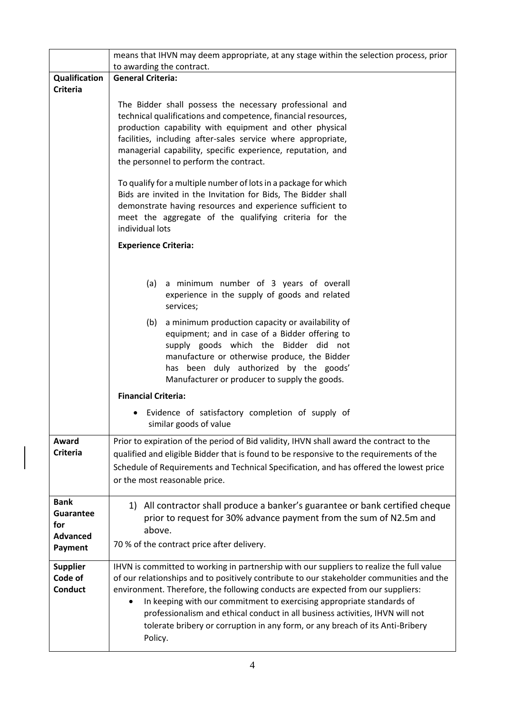|                                                                      | means that IHVN may deem appropriate, at any stage within the selection process, prior                                                                                                                                                                                                                                                                                                                                                                                                                                        |  |
|----------------------------------------------------------------------|-------------------------------------------------------------------------------------------------------------------------------------------------------------------------------------------------------------------------------------------------------------------------------------------------------------------------------------------------------------------------------------------------------------------------------------------------------------------------------------------------------------------------------|--|
|                                                                      | to awarding the contract.                                                                                                                                                                                                                                                                                                                                                                                                                                                                                                     |  |
| Qualification                                                        | <b>General Criteria:</b>                                                                                                                                                                                                                                                                                                                                                                                                                                                                                                      |  |
| <b>Criteria</b>                                                      | The Bidder shall possess the necessary professional and<br>technical qualifications and competence, financial resources,<br>production capability with equipment and other physical<br>facilities, including after-sales service where appropriate,<br>managerial capability, specific experience, reputation, and<br>the personnel to perform the contract.<br>To qualify for a multiple number of lots in a package for which<br>Bids are invited in the Invitation for Bids, The Bidder shall                              |  |
|                                                                      | demonstrate having resources and experience sufficient to<br>meet the aggregate of the qualifying criteria for the<br>individual lots                                                                                                                                                                                                                                                                                                                                                                                         |  |
|                                                                      | <b>Experience Criteria:</b>                                                                                                                                                                                                                                                                                                                                                                                                                                                                                                   |  |
|                                                                      | a minimum number of 3 years of overall<br>(a)<br>experience in the supply of goods and related<br>services;                                                                                                                                                                                                                                                                                                                                                                                                                   |  |
|                                                                      | a minimum production capacity or availability of<br>(b)<br>equipment; and in case of a Bidder offering to<br>supply goods which the Bidder did not<br>manufacture or otherwise produce, the Bidder<br>has been duly authorized by the goods'<br>Manufacturer or producer to supply the goods.                                                                                                                                                                                                                                 |  |
|                                                                      | <b>Financial Criteria:</b>                                                                                                                                                                                                                                                                                                                                                                                                                                                                                                    |  |
|                                                                      | Evidence of satisfactory completion of supply of<br>similar goods of value                                                                                                                                                                                                                                                                                                                                                                                                                                                    |  |
| Award<br><b>Criteria</b>                                             | Prior to expiration of the period of Bid validity, IHVN shall award the contract to the<br>qualified and eligible Bidder that is found to be responsive to the requirements of the<br>Schedule of Requirements and Technical Specification, and has offered the lowest price                                                                                                                                                                                                                                                  |  |
|                                                                      | or the most reasonable price.                                                                                                                                                                                                                                                                                                                                                                                                                                                                                                 |  |
| <b>Bank</b><br><b>Guarantee</b><br>for<br><b>Advanced</b><br>Payment | 1) All contractor shall produce a banker's guarantee or bank certified cheque<br>prior to request for 30% advance payment from the sum of N2.5m and<br>above.<br>70 % of the contract price after delivery.                                                                                                                                                                                                                                                                                                                   |  |
| <b>Supplier</b><br>Code of<br><b>Conduct</b>                         | IHVN is committed to working in partnership with our suppliers to realize the full value<br>of our relationships and to positively contribute to our stakeholder communities and the<br>environment. Therefore, the following conducts are expected from our suppliers:<br>In keeping with our commitment to exercising appropriate standards of<br>professionalism and ethical conduct in all business activities, IHVN will not<br>tolerate bribery or corruption in any form, or any breach of its Anti-Bribery<br>Policy. |  |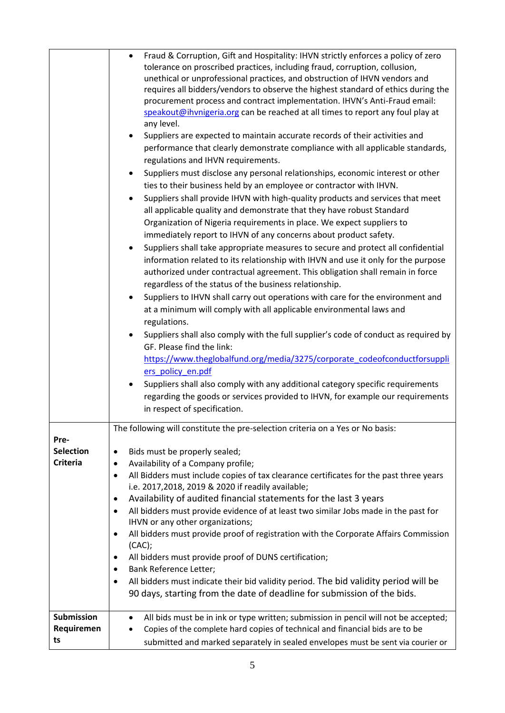|                                                                  | Fraud & Corruption, Gift and Hospitality: IHVN strictly enforces a policy of zero<br>tolerance on proscribed practices, including fraud, corruption, collusion,<br>unethical or unprofessional practices, and obstruction of IHVN vendors and<br>requires all bidders/vendors to observe the highest standard of ethics during the<br>procurement process and contract implementation. IHVN's Anti-Fraud email:<br>speakout@ihvnigeria.org can be reached at all times to report any foul play at<br>any level.<br>Suppliers are expected to maintain accurate records of their activities and<br>performance that clearly demonstrate compliance with all applicable standards,<br>regulations and IHVN requirements.<br>Suppliers must disclose any personal relationships, economic interest or other<br>ties to their business held by an employee or contractor with IHVN.<br>Suppliers shall provide IHVN with high-quality products and services that meet<br>$\bullet$<br>all applicable quality and demonstrate that they have robust Standard<br>Organization of Nigeria requirements in place. We expect suppliers to<br>immediately report to IHVN of any concerns about product safety.<br>Suppliers shall take appropriate measures to secure and protect all confidential<br>$\bullet$<br>information related to its relationship with IHVN and use it only for the purpose<br>authorized under contractual agreement. This obligation shall remain in force<br>regardless of the status of the business relationship.<br>Suppliers to IHVN shall carry out operations with care for the environment and<br>at a minimum will comply with all applicable environmental laws and<br>regulations.<br>Suppliers shall also comply with the full supplier's code of conduct as required by<br>GF. Please find the link:<br>https://www.theglobalfund.org/media/3275/corporate_codeofconductforsuppli<br>ers policy en.pdf<br>Suppliers shall also comply with any additional category specific requirements<br>regarding the goods or services provided to IHVN, for example our requirements<br>in respect of specification. |
|------------------------------------------------------------------|------------------------------------------------------------------------------------------------------------------------------------------------------------------------------------------------------------------------------------------------------------------------------------------------------------------------------------------------------------------------------------------------------------------------------------------------------------------------------------------------------------------------------------------------------------------------------------------------------------------------------------------------------------------------------------------------------------------------------------------------------------------------------------------------------------------------------------------------------------------------------------------------------------------------------------------------------------------------------------------------------------------------------------------------------------------------------------------------------------------------------------------------------------------------------------------------------------------------------------------------------------------------------------------------------------------------------------------------------------------------------------------------------------------------------------------------------------------------------------------------------------------------------------------------------------------------------------------------------------------------------------------------------------------------------------------------------------------------------------------------------------------------------------------------------------------------------------------------------------------------------------------------------------------------------------------------------------------------------------------------------------------------------------------------------------------------------------------------------------------------------------------|
| Pre-<br><b>Selection</b><br><b>Criteria</b><br><b>Submission</b> | The following will constitute the pre-selection criteria on a Yes or No basis:<br>Bids must be properly sealed;<br>$\bullet$<br>Availability of a Company profile;<br>٠<br>All Bidders must include copies of tax clearance certificates for the past three years<br>$\bullet$<br>i.e. 2017,2018, 2019 & 2020 if readily available;<br>Availability of audited financial statements for the last 3 years<br>$\bullet$<br>All bidders must provide evidence of at least two similar Jobs made in the past for<br>$\bullet$<br>IHVN or any other organizations;<br>All bidders must provide proof of registration with the Corporate Affairs Commission<br>٠<br>(CAC);<br>All bidders must provide proof of DUNS certification;<br>٠<br>Bank Reference Letter;<br>٠<br>All bidders must indicate their bid validity period. The bid validity period will be<br>٠<br>90 days, starting from the date of deadline for submission of the bids.                                                                                                                                                                                                                                                                                                                                                                                                                                                                                                                                                                                                                                                                                                                                                                                                                                                                                                                                                                                                                                                                                                                                                                                                |
| Requiremen<br>ts                                                 | All bids must be in ink or type written; submission in pencil will not be accepted;<br>$\bullet$<br>Copies of the complete hard copies of technical and financial bids are to be<br>$\bullet$<br>submitted and marked separately in sealed envelopes must be sent via courier or                                                                                                                                                                                                                                                                                                                                                                                                                                                                                                                                                                                                                                                                                                                                                                                                                                                                                                                                                                                                                                                                                                                                                                                                                                                                                                                                                                                                                                                                                                                                                                                                                                                                                                                                                                                                                                                         |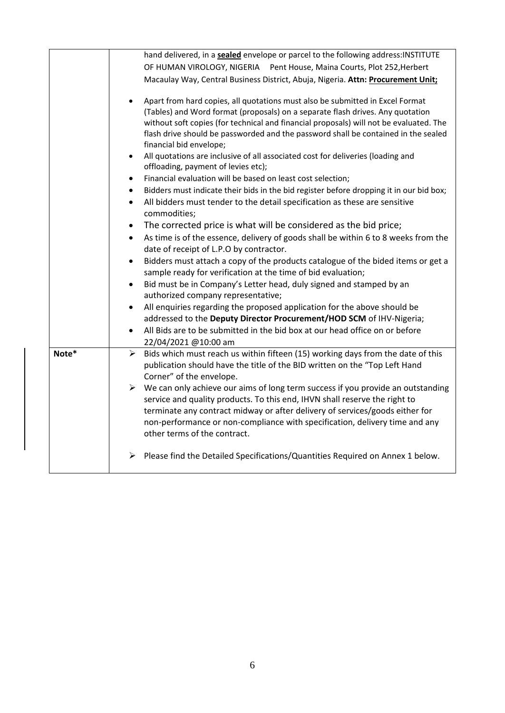|       | hand delivered, in a sealed envelope or parcel to the following address: INSTITUTE                                                  |
|-------|-------------------------------------------------------------------------------------------------------------------------------------|
|       | OF HUMAN VIROLOGY, NIGERIA Pent House, Maina Courts, Plot 252, Herbert                                                              |
|       | Macaulay Way, Central Business District, Abuja, Nigeria. Attn: Procurement Unit;                                                    |
|       |                                                                                                                                     |
|       | Apart from hard copies, all quotations must also be submitted in Excel Format<br>$\bullet$                                          |
|       | (Tables) and Word format (proposals) on a separate flash drives. Any quotation                                                      |
|       | without soft copies (for technical and financial proposals) will not be evaluated. The                                              |
|       | flash drive should be passworded and the password shall be contained in the sealed                                                  |
|       | financial bid envelope;                                                                                                             |
|       | All quotations are inclusive of all associated cost for deliveries (loading and<br>$\bullet$<br>offloading, payment of levies etc); |
|       | Financial evaluation will be based on least cost selection;<br>$\bullet$                                                            |
|       | Bidders must indicate their bids in the bid register before dropping it in our bid box;<br>$\bullet$                                |
|       | All bidders must tender to the detail specification as these are sensitive<br>$\bullet$                                             |
|       | commodities;                                                                                                                        |
|       | The corrected price is what will be considered as the bid price;<br>$\bullet$                                                       |
|       | As time is of the essence, delivery of goods shall be within 6 to 8 weeks from the<br>$\bullet$                                     |
|       | date of receipt of L.P.O by contractor.                                                                                             |
|       | Bidders must attach a copy of the products catalogue of the bided items or get a                                                    |
|       | sample ready for verification at the time of bid evaluation;                                                                        |
|       | Bid must be in Company's Letter head, duly signed and stamped by an                                                                 |
|       | authorized company representative;                                                                                                  |
|       | All enquiries regarding the proposed application for the above should be                                                            |
|       | addressed to the Deputy Director Procurement/HOD SCM of IHV-Nigeria;                                                                |
|       | All Bids are to be submitted in the bid box at our head office on or before                                                         |
|       | 22/04/2021 @10:00 am                                                                                                                |
| Note* | Bids which must reach us within fifteen (15) working days from the date of this<br>➤                                                |
|       | publication should have the title of the BID written on the "Top Left Hand<br>Corner" of the envelope.                              |
|       | $\triangleright$ We can only achieve our aims of long term success if you provide an outstanding                                    |
|       | service and quality products. To this end, IHVN shall reserve the right to                                                          |
|       | terminate any contract midway or after delivery of services/goods either for                                                        |
|       | non-performance or non-compliance with specification, delivery time and any                                                         |
|       | other terms of the contract.                                                                                                        |
|       |                                                                                                                                     |
|       | Please find the Detailed Specifications/Quantities Required on Annex 1 below.<br>➤                                                  |
|       |                                                                                                                                     |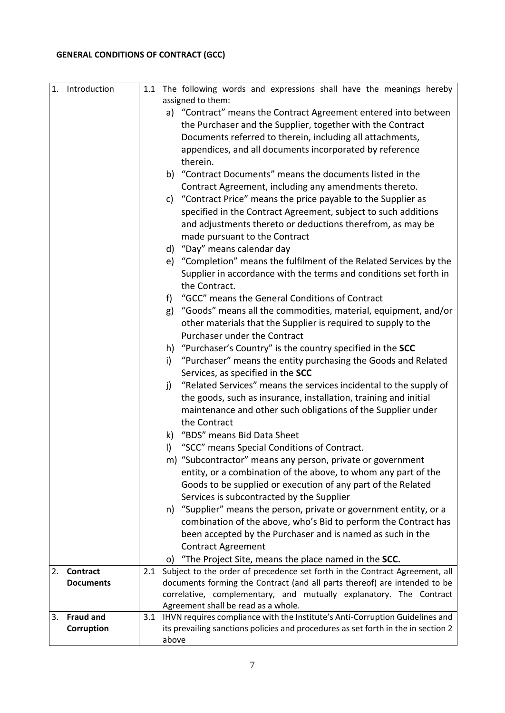### **GENERAL CONDITIONS OF CONTRACT (GCC)**

| 1. | Introduction                        |       | 1.1 The following words and expressions shall have the meanings hereby                                                                                   |
|----|-------------------------------------|-------|----------------------------------------------------------------------------------------------------------------------------------------------------------|
|    |                                     |       | assigned to them:                                                                                                                                        |
|    |                                     |       | a) "Contract" means the Contract Agreement entered into between                                                                                          |
|    |                                     |       | the Purchaser and the Supplier, together with the Contract                                                                                               |
|    |                                     |       | Documents referred to therein, including all attachments,                                                                                                |
|    |                                     |       | appendices, and all documents incorporated by reference                                                                                                  |
|    |                                     |       | therein.                                                                                                                                                 |
|    |                                     |       | b) "Contract Documents" means the documents listed in the                                                                                                |
|    |                                     |       | Contract Agreement, including any amendments thereto.                                                                                                    |
|    |                                     |       | "Contract Price" means the price payable to the Supplier as<br>C)                                                                                        |
|    |                                     |       | specified in the Contract Agreement, subject to such additions                                                                                           |
|    |                                     |       | and adjustments thereto or deductions therefrom, as may be                                                                                               |
|    |                                     |       | made pursuant to the Contract                                                                                                                            |
|    |                                     |       | d) "Day" means calendar day                                                                                                                              |
|    |                                     |       | e) "Completion" means the fulfilment of the Related Services by the                                                                                      |
|    |                                     |       | Supplier in accordance with the terms and conditions set forth in                                                                                        |
|    |                                     |       | the Contract.                                                                                                                                            |
|    |                                     |       | "GCC" means the General Conditions of Contract<br>f)                                                                                                     |
|    |                                     |       | "Goods" means all the commodities, material, equipment, and/or<br>g)                                                                                     |
|    |                                     |       | other materials that the Supplier is required to supply to the                                                                                           |
|    |                                     |       | Purchaser under the Contract                                                                                                                             |
|    |                                     |       | h) "Purchaser's Country" is the country specified in the SCC                                                                                             |
|    |                                     |       | "Purchaser" means the entity purchasing the Goods and Related<br>i)                                                                                      |
|    |                                     |       | Services, as specified in the SCC                                                                                                                        |
|    |                                     |       | "Related Services" means the services incidental to the supply of<br>j)                                                                                  |
|    |                                     |       | the goods, such as insurance, installation, training and initial                                                                                         |
|    |                                     |       | maintenance and other such obligations of the Supplier under                                                                                             |
|    |                                     |       | the Contract                                                                                                                                             |
|    |                                     |       | "BDS" means Bid Data Sheet<br>k)                                                                                                                         |
|    |                                     |       | "SCC" means Special Conditions of Contract.<br>I)                                                                                                        |
|    |                                     |       | m) "Subcontractor" means any person, private or government                                                                                               |
|    |                                     |       | entity, or a combination of the above, to whom any part of the                                                                                           |
|    |                                     |       | Goods to be supplied or execution of any part of the Related                                                                                             |
|    |                                     |       | Services is subcontracted by the Supplier                                                                                                                |
|    |                                     |       | n) "Supplier" means the person, private or government entity, or a                                                                                       |
|    |                                     |       | combination of the above, who's Bid to perform the Contract has                                                                                          |
|    |                                     |       | been accepted by the Purchaser and is named as such in the                                                                                               |
|    |                                     |       | <b>Contract Agreement</b>                                                                                                                                |
|    |                                     |       | "The Project Site, means the place named in the SCC.<br>O)                                                                                               |
| 2. | <b>Contract</b><br><b>Documents</b> | 2.1   | Subject to the order of precedence set forth in the Contract Agreement, all<br>documents forming the Contract (and all parts thereof) are intended to be |
|    |                                     |       | correlative, complementary, and mutually explanatory. The Contract                                                                                       |
|    |                                     |       | Agreement shall be read as a whole.                                                                                                                      |
| 3. | <b>Fraud and</b>                    | 3.1   | IHVN requires compliance with the Institute's Anti-Corruption Guidelines and                                                                             |
|    | Corruption                          |       | its prevailing sanctions policies and procedures as set forth in the in section 2                                                                        |
|    |                                     | above |                                                                                                                                                          |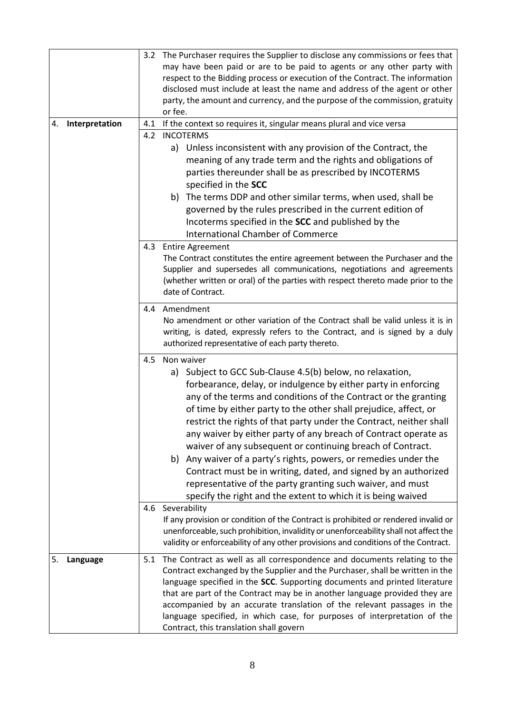| 3.2 The Purchaser requires the Supplier to disclose any commissions or fees that<br>may have been paid or are to be paid to agents or any other party with<br>respect to the Bidding process or execution of the Contract. The information<br>disclosed must include at least the name and address of the agent or other<br>party, the amount and currency, and the purpose of the commission, gratuity<br>or fee.<br>Interpretation<br>If the context so requires it, singular means plural and vice versa<br>4.1<br>4.<br><b>INCOTERMS</b><br>4.2<br>a) Unless inconsistent with any provision of the Contract, the<br>meaning of any trade term and the rights and obligations of |  |
|--------------------------------------------------------------------------------------------------------------------------------------------------------------------------------------------------------------------------------------------------------------------------------------------------------------------------------------------------------------------------------------------------------------------------------------------------------------------------------------------------------------------------------------------------------------------------------------------------------------------------------------------------------------------------------------|--|
|                                                                                                                                                                                                                                                                                                                                                                                                                                                                                                                                                                                                                                                                                      |  |
|                                                                                                                                                                                                                                                                                                                                                                                                                                                                                                                                                                                                                                                                                      |  |
|                                                                                                                                                                                                                                                                                                                                                                                                                                                                                                                                                                                                                                                                                      |  |
|                                                                                                                                                                                                                                                                                                                                                                                                                                                                                                                                                                                                                                                                                      |  |
|                                                                                                                                                                                                                                                                                                                                                                                                                                                                                                                                                                                                                                                                                      |  |
|                                                                                                                                                                                                                                                                                                                                                                                                                                                                                                                                                                                                                                                                                      |  |
|                                                                                                                                                                                                                                                                                                                                                                                                                                                                                                                                                                                                                                                                                      |  |
|                                                                                                                                                                                                                                                                                                                                                                                                                                                                                                                                                                                                                                                                                      |  |
|                                                                                                                                                                                                                                                                                                                                                                                                                                                                                                                                                                                                                                                                                      |  |
|                                                                                                                                                                                                                                                                                                                                                                                                                                                                                                                                                                                                                                                                                      |  |
| parties thereunder shall be as prescribed by INCOTERMS                                                                                                                                                                                                                                                                                                                                                                                                                                                                                                                                                                                                                               |  |
| specified in the SCC                                                                                                                                                                                                                                                                                                                                                                                                                                                                                                                                                                                                                                                                 |  |
| b) The terms DDP and other similar terms, when used, shall be                                                                                                                                                                                                                                                                                                                                                                                                                                                                                                                                                                                                                        |  |
| governed by the rules prescribed in the current edition of                                                                                                                                                                                                                                                                                                                                                                                                                                                                                                                                                                                                                           |  |
| Incoterms specified in the SCC and published by the                                                                                                                                                                                                                                                                                                                                                                                                                                                                                                                                                                                                                                  |  |
| <b>International Chamber of Commerce</b>                                                                                                                                                                                                                                                                                                                                                                                                                                                                                                                                                                                                                                             |  |
| 4.3<br><b>Entire Agreement</b>                                                                                                                                                                                                                                                                                                                                                                                                                                                                                                                                                                                                                                                       |  |
| The Contract constitutes the entire agreement between the Purchaser and the                                                                                                                                                                                                                                                                                                                                                                                                                                                                                                                                                                                                          |  |
| Supplier and supersedes all communications, negotiations and agreements                                                                                                                                                                                                                                                                                                                                                                                                                                                                                                                                                                                                              |  |
| (whether written or oral) of the parties with respect thereto made prior to the                                                                                                                                                                                                                                                                                                                                                                                                                                                                                                                                                                                                      |  |
| date of Contract.                                                                                                                                                                                                                                                                                                                                                                                                                                                                                                                                                                                                                                                                    |  |
|                                                                                                                                                                                                                                                                                                                                                                                                                                                                                                                                                                                                                                                                                      |  |
| 4.4 Amendment                                                                                                                                                                                                                                                                                                                                                                                                                                                                                                                                                                                                                                                                        |  |
| No amendment or other variation of the Contract shall be valid unless it is in                                                                                                                                                                                                                                                                                                                                                                                                                                                                                                                                                                                                       |  |
|                                                                                                                                                                                                                                                                                                                                                                                                                                                                                                                                                                                                                                                                                      |  |
| writing, is dated, expressly refers to the Contract, and is signed by a duly                                                                                                                                                                                                                                                                                                                                                                                                                                                                                                                                                                                                         |  |
| authorized representative of each party thereto.                                                                                                                                                                                                                                                                                                                                                                                                                                                                                                                                                                                                                                     |  |
| 4.5<br>Non waiver                                                                                                                                                                                                                                                                                                                                                                                                                                                                                                                                                                                                                                                                    |  |
| a) Subject to GCC Sub-Clause 4.5(b) below, no relaxation,                                                                                                                                                                                                                                                                                                                                                                                                                                                                                                                                                                                                                            |  |
|                                                                                                                                                                                                                                                                                                                                                                                                                                                                                                                                                                                                                                                                                      |  |
| forbearance, delay, or indulgence by either party in enforcing                                                                                                                                                                                                                                                                                                                                                                                                                                                                                                                                                                                                                       |  |
| any of the terms and conditions of the Contract or the granting                                                                                                                                                                                                                                                                                                                                                                                                                                                                                                                                                                                                                      |  |
| of time by either party to the other shall prejudice, affect, or                                                                                                                                                                                                                                                                                                                                                                                                                                                                                                                                                                                                                     |  |
| restrict the rights of that party under the Contract, neither shall                                                                                                                                                                                                                                                                                                                                                                                                                                                                                                                                                                                                                  |  |
| any waiver by either party of any breach of Contract operate as                                                                                                                                                                                                                                                                                                                                                                                                                                                                                                                                                                                                                      |  |
| waiver of any subsequent or continuing breach of Contract.                                                                                                                                                                                                                                                                                                                                                                                                                                                                                                                                                                                                                           |  |
| b) Any waiver of a party's rights, powers, or remedies under the                                                                                                                                                                                                                                                                                                                                                                                                                                                                                                                                                                                                                     |  |
| Contract must be in writing, dated, and signed by an authorized                                                                                                                                                                                                                                                                                                                                                                                                                                                                                                                                                                                                                      |  |
| representative of the party granting such waiver, and must                                                                                                                                                                                                                                                                                                                                                                                                                                                                                                                                                                                                                           |  |
| specify the right and the extent to which it is being waived                                                                                                                                                                                                                                                                                                                                                                                                                                                                                                                                                                                                                         |  |
| 4.6 Severability                                                                                                                                                                                                                                                                                                                                                                                                                                                                                                                                                                                                                                                                     |  |
| If any provision or condition of the Contract is prohibited or rendered invalid or                                                                                                                                                                                                                                                                                                                                                                                                                                                                                                                                                                                                   |  |
| unenforceable, such prohibition, invalidity or unenforceability shall not affect the                                                                                                                                                                                                                                                                                                                                                                                                                                                                                                                                                                                                 |  |
| validity or enforceability of any other provisions and conditions of the Contract.                                                                                                                                                                                                                                                                                                                                                                                                                                                                                                                                                                                                   |  |
|                                                                                                                                                                                                                                                                                                                                                                                                                                                                                                                                                                                                                                                                                      |  |
| The Contract as well as all correspondence and documents relating to the<br>5.<br>Language<br>5.1                                                                                                                                                                                                                                                                                                                                                                                                                                                                                                                                                                                    |  |
| Contract exchanged by the Supplier and the Purchaser, shall be written in the                                                                                                                                                                                                                                                                                                                                                                                                                                                                                                                                                                                                        |  |
| language specified in the SCC. Supporting documents and printed literature                                                                                                                                                                                                                                                                                                                                                                                                                                                                                                                                                                                                           |  |
| that are part of the Contract may be in another language provided they are                                                                                                                                                                                                                                                                                                                                                                                                                                                                                                                                                                                                           |  |
| accompanied by an accurate translation of the relevant passages in the<br>language specified, in which case, for purposes of interpretation of the                                                                                                                                                                                                                                                                                                                                                                                                                                                                                                                                   |  |
|                                                                                                                                                                                                                                                                                                                                                                                                                                                                                                                                                                                                                                                                                      |  |
|                                                                                                                                                                                                                                                                                                                                                                                                                                                                                                                                                                                                                                                                                      |  |
|                                                                                                                                                                                                                                                                                                                                                                                                                                                                                                                                                                                                                                                                                      |  |
|                                                                                                                                                                                                                                                                                                                                                                                                                                                                                                                                                                                                                                                                                      |  |
|                                                                                                                                                                                                                                                                                                                                                                                                                                                                                                                                                                                                                                                                                      |  |
|                                                                                                                                                                                                                                                                                                                                                                                                                                                                                                                                                                                                                                                                                      |  |
|                                                                                                                                                                                                                                                                                                                                                                                                                                                                                                                                                                                                                                                                                      |  |
|                                                                                                                                                                                                                                                                                                                                                                                                                                                                                                                                                                                                                                                                                      |  |
|                                                                                                                                                                                                                                                                                                                                                                                                                                                                                                                                                                                                                                                                                      |  |
|                                                                                                                                                                                                                                                                                                                                                                                                                                                                                                                                                                                                                                                                                      |  |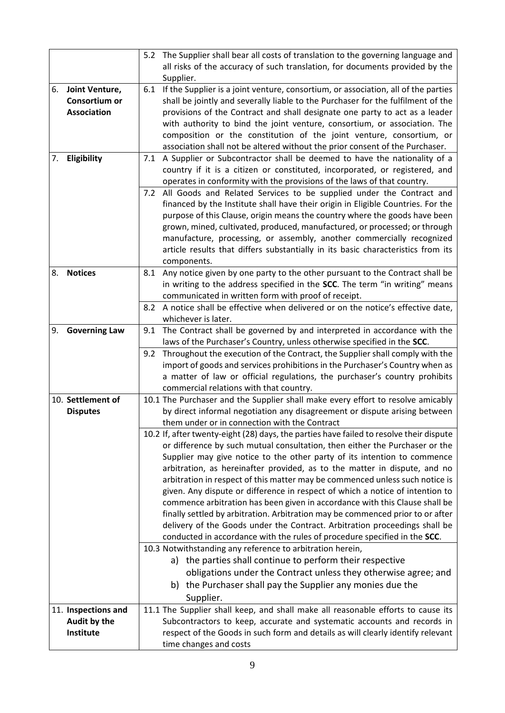|    |                                        | 5.2 The Supplier shall bear all costs of translation to the governing language and                                                                                            |  |
|----|----------------------------------------|-------------------------------------------------------------------------------------------------------------------------------------------------------------------------------|--|
|    |                                        | all risks of the accuracy of such translation, for documents provided by the<br>Supplier.                                                                                     |  |
| 6. | Joint Venture,<br><b>Consortium or</b> | If the Supplier is a joint venture, consortium, or association, all of the parties<br>6.1<br>shall be jointly and severally liable to the Purchaser for the fulfilment of the |  |
|    | <b>Association</b>                     | provisions of the Contract and shall designate one party to act as a leader                                                                                                   |  |
|    |                                        | with authority to bind the joint venture, consortium, or association. The                                                                                                     |  |
|    |                                        | composition or the constitution of the joint venture, consortium, or                                                                                                          |  |
|    |                                        | association shall not be altered without the prior consent of the Purchaser.                                                                                                  |  |
| 7. | Eligibility                            | A Supplier or Subcontractor shall be deemed to have the nationality of a<br>7.1                                                                                               |  |
|    |                                        | country if it is a citizen or constituted, incorporated, or registered, and<br>operates in conformity with the provisions of the laws of that country.                        |  |
|    |                                        | 7.2 All Goods and Related Services to be supplied under the Contract and                                                                                                      |  |
|    |                                        | financed by the Institute shall have their origin in Eligible Countries. For the                                                                                              |  |
|    |                                        | purpose of this Clause, origin means the country where the goods have been                                                                                                    |  |
|    |                                        | grown, mined, cultivated, produced, manufactured, or processed; or through                                                                                                    |  |
|    |                                        | manufacture, processing, or assembly, another commercially recognized                                                                                                         |  |
|    |                                        | article results that differs substantially in its basic characteristics from its<br>components.                                                                               |  |
| 8. | <b>Notices</b>                         | Any notice given by one party to the other pursuant to the Contract shall be<br>8.1                                                                                           |  |
|    |                                        | in writing to the address specified in the SCC. The term "in writing" means                                                                                                   |  |
|    |                                        | communicated in written form with proof of receipt.                                                                                                                           |  |
|    |                                        | A notice shall be effective when delivered or on the notice's effective date,<br>8.2                                                                                          |  |
|    |                                        | whichever is later.                                                                                                                                                           |  |
| 9. | <b>Governing Law</b>                   | The Contract shall be governed by and interpreted in accordance with the<br>9.1                                                                                               |  |
|    |                                        | laws of the Purchaser's Country, unless otherwise specified in the SCC.                                                                                                       |  |
|    |                                        | Throughout the execution of the Contract, the Supplier shall comply with the<br>9.2<br>import of goods and services prohibitions in the Purchaser's Country when as           |  |
|    |                                        | a matter of law or official regulations, the purchaser's country prohibits                                                                                                    |  |
|    |                                        | commercial relations with that country.                                                                                                                                       |  |
|    | 10. Settlement of                      | 10.1 The Purchaser and the Supplier shall make every effort to resolve amicably                                                                                               |  |
|    | <b>Disputes</b>                        | by direct informal negotiation any disagreement or dispute arising between                                                                                                    |  |
|    |                                        | them under or in connection with the Contract                                                                                                                                 |  |
|    |                                        | 10.2 If, after twenty-eight (28) days, the parties have failed to resolve their dispute<br>or difference by such mutual consultation, then either the Purchaser or the        |  |
|    |                                        | Supplier may give notice to the other party of its intention to commence                                                                                                      |  |
|    |                                        | arbitration, as hereinafter provided, as to the matter in dispute, and no                                                                                                     |  |
|    |                                        | arbitration in respect of this matter may be commenced unless such notice is                                                                                                  |  |
|    |                                        | given. Any dispute or difference in respect of which a notice of intention to                                                                                                 |  |
|    |                                        | commence arbitration has been given in accordance with this Clause shall be                                                                                                   |  |
|    |                                        | finally settled by arbitration. Arbitration may be commenced prior to or after                                                                                                |  |
|    |                                        | delivery of the Goods under the Contract. Arbitration proceedings shall be<br>conducted in accordance with the rules of procedure specified in the SCC.                       |  |
|    |                                        | 10.3 Notwithstanding any reference to arbitration herein,                                                                                                                     |  |
|    |                                        | a) the parties shall continue to perform their respective                                                                                                                     |  |
|    |                                        | obligations under the Contract unless they otherwise agree; and                                                                                                               |  |
|    |                                        | b) the Purchaser shall pay the Supplier any monies due the                                                                                                                    |  |
|    |                                        | Supplier.                                                                                                                                                                     |  |
|    | 11. Inspections and                    | 11.1 The Supplier shall keep, and shall make all reasonable efforts to cause its                                                                                              |  |
|    | Audit by the                           | Subcontractors to keep, accurate and systematic accounts and records in                                                                                                       |  |
|    | Institute                              | respect of the Goods in such form and details as will clearly identify relevant                                                                                               |  |
|    |                                        | time changes and costs                                                                                                                                                        |  |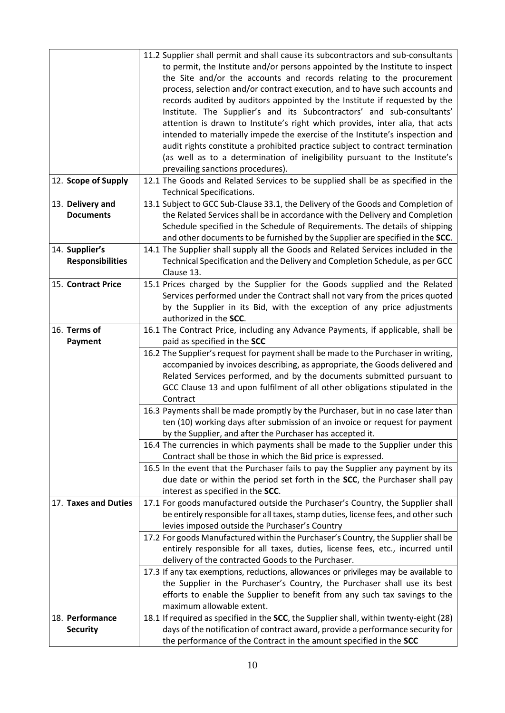|                         | 11.2 Supplier shall permit and shall cause its subcontractors and sub-consultants                                                                    |
|-------------------------|------------------------------------------------------------------------------------------------------------------------------------------------------|
|                         | to permit, the Institute and/or persons appointed by the Institute to inspect                                                                        |
|                         | the Site and/or the accounts and records relating to the procurement                                                                                 |
|                         | process, selection and/or contract execution, and to have such accounts and                                                                          |
|                         | records audited by auditors appointed by the Institute if requested by the                                                                           |
|                         |                                                                                                                                                      |
|                         | Institute. The Supplier's and its Subcontractors' and sub-consultants'                                                                               |
|                         | attention is drawn to Institute's right which provides, inter alia, that acts                                                                        |
|                         | intended to materially impede the exercise of the Institute's inspection and                                                                         |
|                         | audit rights constitute a prohibited practice subject to contract termination                                                                        |
|                         | (as well as to a determination of ineligibility pursuant to the Institute's                                                                          |
|                         | prevailing sanctions procedures).                                                                                                                    |
| 12. Scope of Supply     | 12.1 The Goods and Related Services to be supplied shall be as specified in the                                                                      |
|                         | <b>Technical Specifications.</b>                                                                                                                     |
| 13. Delivery and        | 13.1 Subject to GCC Sub-Clause 33.1, the Delivery of the Goods and Completion of                                                                     |
| <b>Documents</b>        | the Related Services shall be in accordance with the Delivery and Completion                                                                         |
|                         | Schedule specified in the Schedule of Requirements. The details of shipping                                                                          |
|                         | and other documents to be furnished by the Supplier are specified in the SCC.                                                                        |
| 14. Supplier's          | 14.1 The Supplier shall supply all the Goods and Related Services included in the                                                                    |
| <b>Responsibilities</b> | Technical Specification and the Delivery and Completion Schedule, as per GCC                                                                         |
|                         | Clause 13.                                                                                                                                           |
| 15. Contract Price      | 15.1 Prices charged by the Supplier for the Goods supplied and the Related                                                                           |
|                         | Services performed under the Contract shall not vary from the prices quoted                                                                          |
|                         | by the Supplier in its Bid, with the exception of any price adjustments                                                                              |
|                         | authorized in the SCC.                                                                                                                               |
| 16. Terms of            | 16.1 The Contract Price, including any Advance Payments, if applicable, shall be                                                                     |
| <b>Payment</b>          | paid as specified in the SCC                                                                                                                         |
|                         | 16.2 The Supplier's request for payment shall be made to the Purchaser in writing,                                                                   |
|                         | accompanied by invoices describing, as appropriate, the Goods delivered and                                                                          |
|                         | Related Services performed, and by the documents submitted pursuant to                                                                               |
|                         | GCC Clause 13 and upon fulfilment of all other obligations stipulated in the                                                                         |
|                         | Contract                                                                                                                                             |
|                         | 16.3 Payments shall be made promptly by the Purchaser, but in no case later than                                                                     |
|                         | ten (10) working days after submission of an invoice or request for payment                                                                          |
|                         | by the Supplier, and after the Purchaser has accepted it.                                                                                            |
|                         | 16.4 The currencies in which payments shall be made to the Supplier under this                                                                       |
|                         | Contract shall be those in which the Bid price is expressed.                                                                                         |
|                         | 16.5 In the event that the Purchaser fails to pay the Supplier any payment by its                                                                    |
|                         | due date or within the period set forth in the SCC, the Purchaser shall pay                                                                          |
|                         | interest as specified in the SCC.                                                                                                                    |
| 17. Taxes and Duties    | 17.1 For goods manufactured outside the Purchaser's Country, the Supplier shall                                                                      |
|                         | be entirely responsible for all taxes, stamp duties, license fees, and other such                                                                    |
|                         |                                                                                                                                                      |
|                         |                                                                                                                                                      |
|                         | levies imposed outside the Purchaser's Country                                                                                                       |
|                         | 17.2 For goods Manufactured within the Purchaser's Country, the Supplier shall be                                                                    |
|                         | entirely responsible for all taxes, duties, license fees, etc., incurred until                                                                       |
|                         | delivery of the contracted Goods to the Purchaser.                                                                                                   |
|                         | 17.3 If any tax exemptions, reductions, allowances or privileges may be available to                                                                 |
|                         | the Supplier in the Purchaser's Country, the Purchaser shall use its best                                                                            |
|                         | efforts to enable the Supplier to benefit from any such tax savings to the                                                                           |
|                         | maximum allowable extent.                                                                                                                            |
| 18. Performance         | 18.1 If required as specified in the SCC, the Supplier shall, within twenty-eight (28)                                                               |
| <b>Security</b>         | days of the notification of contract award, provide a performance security for<br>the performance of the Contract in the amount specified in the SCC |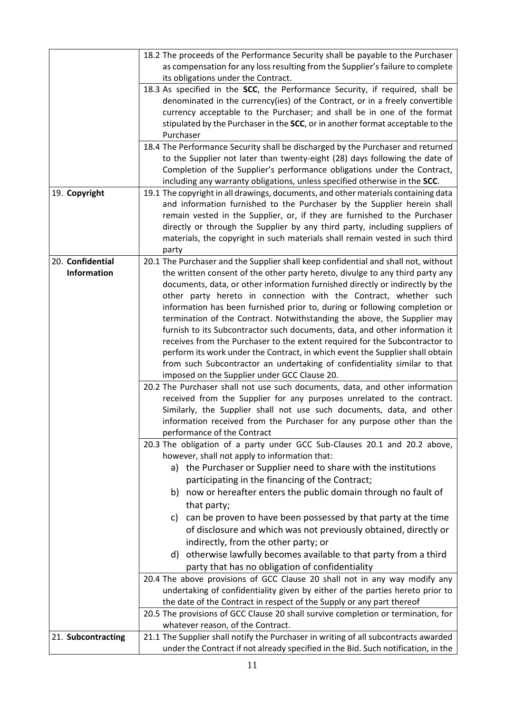|                    | 18.2 The proceeds of the Performance Security shall be payable to the Purchaser<br>as compensation for any loss resulting from the Supplier's failure to complete |
|--------------------|-------------------------------------------------------------------------------------------------------------------------------------------------------------------|
|                    | its obligations under the Contract.                                                                                                                               |
|                    | 18.3 As specified in the SCC, the Performance Security, if required, shall be                                                                                     |
|                    | denominated in the currency(ies) of the Contract, or in a freely convertible                                                                                      |
|                    | currency acceptable to the Purchaser; and shall be in one of the format                                                                                           |
|                    | stipulated by the Purchaser in the SCC, or in another format acceptable to the                                                                                    |
|                    | Purchaser                                                                                                                                                         |
|                    | 18.4 The Performance Security shall be discharged by the Purchaser and returned                                                                                   |
|                    | to the Supplier not later than twenty-eight (28) days following the date of                                                                                       |
|                    | Completion of the Supplier's performance obligations under the Contract,                                                                                          |
|                    | including any warranty obligations, unless specified otherwise in the SCC.<br>19.1 The copyright in all drawings, documents, and other materials containing data  |
| 19. Copyright      | and information furnished to the Purchaser by the Supplier herein shall                                                                                           |
|                    | remain vested in the Supplier, or, if they are furnished to the Purchaser                                                                                         |
|                    | directly or through the Supplier by any third party, including suppliers of                                                                                       |
|                    | materials, the copyright in such materials shall remain vested in such third                                                                                      |
|                    | party                                                                                                                                                             |
| 20. Confidential   | 20.1 The Purchaser and the Supplier shall keep confidential and shall not, without                                                                                |
| <b>Information</b> | the written consent of the other party hereto, divulge to any third party any                                                                                     |
|                    | documents, data, or other information furnished directly or indirectly by the                                                                                     |
|                    | other party hereto in connection with the Contract, whether such                                                                                                  |
|                    | information has been furnished prior to, during or following completion or                                                                                        |
|                    | termination of the Contract. Notwithstanding the above, the Supplier may                                                                                          |
|                    | furnish to its Subcontractor such documents, data, and other information it                                                                                       |
|                    | receives from the Purchaser to the extent required for the Subcontractor to                                                                                       |
|                    | perform its work under the Contract, in which event the Supplier shall obtain<br>from such Subcontractor an undertaking of confidentiality similar to that        |
|                    | imposed on the Supplier under GCC Clause 20.                                                                                                                      |
|                    | 20.2 The Purchaser shall not use such documents, data, and other information                                                                                      |
|                    | received from the Supplier for any purposes unrelated to the contract.                                                                                            |
|                    | Similarly, the Supplier shall not use such documents, data, and other                                                                                             |
|                    | information received from the Purchaser for any purpose other than the                                                                                            |
|                    | performance of the Contract                                                                                                                                       |
|                    | 20.3 The obligation of a party under GCC Sub-Clauses 20.1 and 20.2 above,<br>however, shall not apply to information that:                                        |
|                    | a) the Purchaser or Supplier need to share with the institutions                                                                                                  |
|                    | participating in the financing of the Contract;                                                                                                                   |
|                    | b) now or hereafter enters the public domain through no fault of                                                                                                  |
|                    | that party;                                                                                                                                                       |
|                    | c) can be proven to have been possessed by that party at the time                                                                                                 |
|                    | of disclosure and which was not previously obtained, directly or                                                                                                  |
|                    | indirectly, from the other party; or                                                                                                                              |
|                    | d) otherwise lawfully becomes available to that party from a third                                                                                                |
|                    | party that has no obligation of confidentiality                                                                                                                   |
|                    | 20.4 The above provisions of GCC Clause 20 shall not in any way modify any                                                                                        |
|                    | undertaking of confidentiality given by either of the parties hereto prior to                                                                                     |
|                    | the date of the Contract in respect of the Supply or any part thereof                                                                                             |
|                    | 20.5 The provisions of GCC Clause 20 shall survive completion or termination, for<br>whatever reason, of the Contract.                                            |
| 21. Subcontracting | 21.1 The Supplier shall notify the Purchaser in writing of all subcontracts awarded                                                                               |
|                    | under the Contract if not already specified in the Bid. Such notification, in the                                                                                 |
|                    |                                                                                                                                                                   |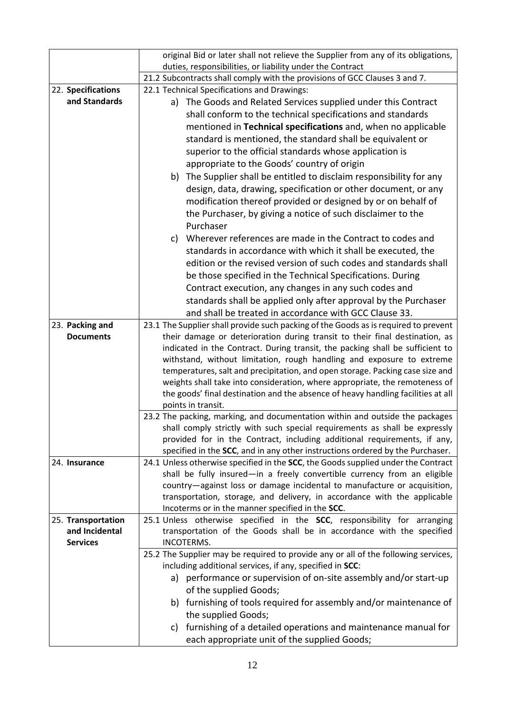|                    | original Bid or later shall not relieve the Supplier from any of its obligations,                  |
|--------------------|----------------------------------------------------------------------------------------------------|
|                    | duties, responsibilities, or liability under the Contract                                          |
|                    | 21.2 Subcontracts shall comply with the provisions of GCC Clauses 3 and 7.                         |
| 22. Specifications | 22.1 Technical Specifications and Drawings:                                                        |
| and Standards      | a) The Goods and Related Services supplied under this Contract                                     |
|                    | shall conform to the technical specifications and standards                                        |
|                    | mentioned in Technical specifications and, when no applicable                                      |
|                    | standard is mentioned, the standard shall be equivalent or                                         |
|                    | superior to the official standards whose application is                                            |
|                    | appropriate to the Goods' country of origin                                                        |
|                    | b) The Supplier shall be entitled to disclaim responsibility for any                               |
|                    | design, data, drawing, specification or other document, or any                                     |
|                    | modification thereof provided or designed by or on behalf of                                       |
|                    | the Purchaser, by giving a notice of such disclaimer to the                                        |
|                    | Purchaser                                                                                          |
|                    | c) Wherever references are made in the Contract to codes and                                       |
|                    | standards in accordance with which it shall be executed, the                                       |
|                    | edition or the revised version of such codes and standards shall                                   |
|                    | be those specified in the Technical Specifications. During                                         |
|                    | Contract execution, any changes in any such codes and                                              |
|                    | standards shall be applied only after approval by the Purchaser                                    |
|                    | and shall be treated in accordance with GCC Clause 33.                                             |
| 23. Packing and    | 23.1 The Supplier shall provide such packing of the Goods as is required to prevent                |
| <b>Documents</b>   | their damage or deterioration during transit to their final destination, as                        |
|                    | indicated in the Contract. During transit, the packing shall be sufficient to                      |
|                    | withstand, without limitation, rough handling and exposure to extreme                              |
|                    | temperatures, salt and precipitation, and open storage. Packing case size and                      |
|                    | weights shall take into consideration, where appropriate, the remoteness of                        |
|                    | the goods' final destination and the absence of heavy handling facilities at all                   |
|                    | points in transit.<br>23.2 The packing, marking, and documentation within and outside the packages |
|                    | shall comply strictly with such special requirements as shall be expressly                         |
|                    | provided for in the Contract, including additional requirements, if any,                           |
|                    | specified in the SCC, and in any other instructions ordered by the Purchaser.                      |
| 24. Insurance      | 24.1 Unless otherwise specified in the SCC, the Goods supplied under the Contract                  |
|                    | shall be fully insured-in a freely convertible currency from an eligible                           |
|                    | country-against loss or damage incidental to manufacture or acquisition,                           |
|                    | transportation, storage, and delivery, in accordance with the applicable                           |
|                    | Incoterms or in the manner specified in the SCC.                                                   |
| 25. Transportation | 25.1 Unless otherwise specified in the SCC, responsibility for arranging                           |
| and Incidental     | transportation of the Goods shall be in accordance with the specified                              |
| <b>Services</b>    | INCOTERMS.                                                                                         |
|                    | 25.2 The Supplier may be required to provide any or all of the following services,                 |
|                    | including additional services, if any, specified in SCC:                                           |
|                    | a) performance or supervision of on-site assembly and/or start-up                                  |
|                    | of the supplied Goods;                                                                             |
|                    | b) furnishing of tools required for assembly and/or maintenance of                                 |
|                    | the supplied Goods;                                                                                |
|                    | c) furnishing of a detailed operations and maintenance manual for                                  |
|                    | each appropriate unit of the supplied Goods;                                                       |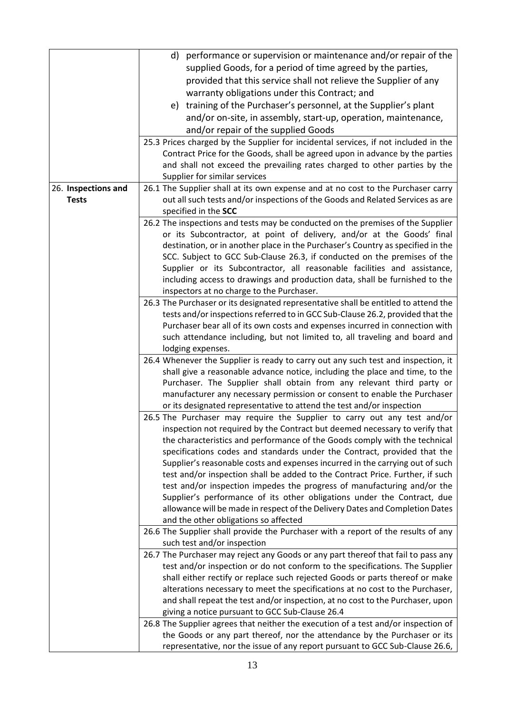|                                                                                 | d) performance or supervision or maintenance and/or repair of the                                                 |  |  |  |  |
|---------------------------------------------------------------------------------|-------------------------------------------------------------------------------------------------------------------|--|--|--|--|
|                                                                                 | supplied Goods, for a period of time agreed by the parties,                                                       |  |  |  |  |
|                                                                                 |                                                                                                                   |  |  |  |  |
|                                                                                 | provided that this service shall not relieve the Supplier of any                                                  |  |  |  |  |
|                                                                                 | warranty obligations under this Contract; and                                                                     |  |  |  |  |
|                                                                                 | e) training of the Purchaser's personnel, at the Supplier's plant                                                 |  |  |  |  |
|                                                                                 | and/or on-site, in assembly, start-up, operation, maintenance,                                                    |  |  |  |  |
|                                                                                 | and/or repair of the supplied Goods                                                                               |  |  |  |  |
|                                                                                 | 25.3 Prices charged by the Supplier for incidental services, if not included in the                               |  |  |  |  |
|                                                                                 | Contract Price for the Goods, shall be agreed upon in advance by the parties                                      |  |  |  |  |
|                                                                                 | and shall not exceed the prevailing rates charged to other parties by the                                         |  |  |  |  |
|                                                                                 | Supplier for similar services<br>26.1 The Supplier shall at its own expense and at no cost to the Purchaser carry |  |  |  |  |
| 26. Inspections and                                                             |                                                                                                                   |  |  |  |  |
| <b>Tests</b>                                                                    | out all such tests and/or inspections of the Goods and Related Services as are                                    |  |  |  |  |
|                                                                                 | specified in the SCC                                                                                              |  |  |  |  |
|                                                                                 |                                                                                                                   |  |  |  |  |
| 26.2 The inspections and tests may be conducted on the premises of the Supplier |                                                                                                                   |  |  |  |  |
|                                                                                 | or its Subcontractor, at point of delivery, and/or at the Goods' final                                            |  |  |  |  |
|                                                                                 | destination, or in another place in the Purchaser's Country as specified in the                                   |  |  |  |  |
|                                                                                 | SCC. Subject to GCC Sub-Clause 26.3, if conducted on the premises of the                                          |  |  |  |  |
|                                                                                 | Supplier or its Subcontractor, all reasonable facilities and assistance,                                          |  |  |  |  |
|                                                                                 | including access to drawings and production data, shall be furnished to the                                       |  |  |  |  |
|                                                                                 | inspectors at no charge to the Purchaser.                                                                         |  |  |  |  |
|                                                                                 | 26.3 The Purchaser or its designated representative shall be entitled to attend the                               |  |  |  |  |
|                                                                                 | tests and/or inspections referred to in GCC Sub-Clause 26.2, provided that the                                    |  |  |  |  |
|                                                                                 | Purchaser bear all of its own costs and expenses incurred in connection with                                      |  |  |  |  |
|                                                                                 | such attendance including, but not limited to, all traveling and board and                                        |  |  |  |  |
|                                                                                 | lodging expenses.                                                                                                 |  |  |  |  |
|                                                                                 | 26.4 Whenever the Supplier is ready to carry out any such test and inspection, it                                 |  |  |  |  |
|                                                                                 | shall give a reasonable advance notice, including the place and time, to the                                      |  |  |  |  |
|                                                                                 | Purchaser. The Supplier shall obtain from any relevant third party or                                             |  |  |  |  |
|                                                                                 | manufacturer any necessary permission or consent to enable the Purchaser                                          |  |  |  |  |
|                                                                                 | or its designated representative to attend the test and/or inspection                                             |  |  |  |  |
|                                                                                 | 26.5 The Purchaser may require the Supplier to carry out any test and/or                                          |  |  |  |  |
|                                                                                 | inspection not required by the Contract but deemed necessary to verify that                                       |  |  |  |  |
|                                                                                 | the characteristics and performance of the Goods comply with the technical                                        |  |  |  |  |
|                                                                                 |                                                                                                                   |  |  |  |  |
|                                                                                 | specifications codes and standards under the Contract, provided that the                                          |  |  |  |  |
|                                                                                 | Supplier's reasonable costs and expenses incurred in the carrying out of such                                     |  |  |  |  |
|                                                                                 | test and/or inspection shall be added to the Contract Price. Further, if such                                     |  |  |  |  |
|                                                                                 | test and/or inspection impedes the progress of manufacturing and/or the                                           |  |  |  |  |
|                                                                                 | Supplier's performance of its other obligations under the Contract, due                                           |  |  |  |  |
|                                                                                 | allowance will be made in respect of the Delivery Dates and Completion Dates                                      |  |  |  |  |
|                                                                                 | and the other obligations so affected                                                                             |  |  |  |  |
|                                                                                 | 26.6 The Supplier shall provide the Purchaser with a report of the results of any                                 |  |  |  |  |
|                                                                                 | such test and/or inspection                                                                                       |  |  |  |  |
|                                                                                 | 26.7 The Purchaser may reject any Goods or any part thereof that fail to pass any                                 |  |  |  |  |
|                                                                                 | test and/or inspection or do not conform to the specifications. The Supplier                                      |  |  |  |  |
|                                                                                 | shall either rectify or replace such rejected Goods or parts thereof or make                                      |  |  |  |  |
|                                                                                 | alterations necessary to meet the specifications at no cost to the Purchaser,                                     |  |  |  |  |
|                                                                                 | and shall repeat the test and/or inspection, at no cost to the Purchaser, upon                                    |  |  |  |  |
|                                                                                 | giving a notice pursuant to GCC Sub-Clause 26.4                                                                   |  |  |  |  |
|                                                                                 | 26.8 The Supplier agrees that neither the execution of a test and/or inspection of                                |  |  |  |  |
|                                                                                 | the Goods or any part thereof, nor the attendance by the Purchaser or its                                         |  |  |  |  |
|                                                                                 | representative, nor the issue of any report pursuant to GCC Sub-Clause 26.6,                                      |  |  |  |  |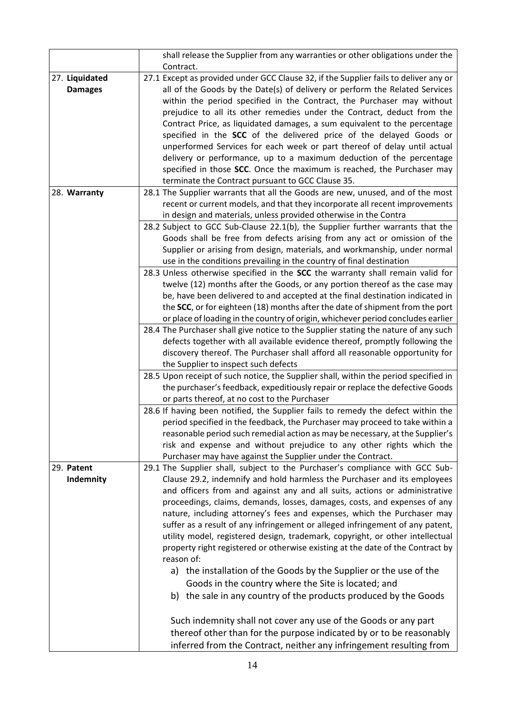|                                  | shall release the Supplier from any warranties or other obligations under the                                                                                                                                                                                                                                                                                                                                                                                                                                                                                                                                                                                                                                                                                                                                                                                                                                                                                                                                                                                                                                                                                                                                                                                                                                                                                                                                                                                                                                                                                                                                                                                          |  |  |  |
|----------------------------------|------------------------------------------------------------------------------------------------------------------------------------------------------------------------------------------------------------------------------------------------------------------------------------------------------------------------------------------------------------------------------------------------------------------------------------------------------------------------------------------------------------------------------------------------------------------------------------------------------------------------------------------------------------------------------------------------------------------------------------------------------------------------------------------------------------------------------------------------------------------------------------------------------------------------------------------------------------------------------------------------------------------------------------------------------------------------------------------------------------------------------------------------------------------------------------------------------------------------------------------------------------------------------------------------------------------------------------------------------------------------------------------------------------------------------------------------------------------------------------------------------------------------------------------------------------------------------------------------------------------------------------------------------------------------|--|--|--|
|                                  | Contract.                                                                                                                                                                                                                                                                                                                                                                                                                                                                                                                                                                                                                                                                                                                                                                                                                                                                                                                                                                                                                                                                                                                                                                                                                                                                                                                                                                                                                                                                                                                                                                                                                                                              |  |  |  |
| 27. Liquidated<br><b>Damages</b> | 27.1 Except as provided under GCC Clause 32, if the Supplier fails to deliver any or<br>all of the Goods by the Date(s) of delivery or perform the Related Services<br>within the period specified in the Contract, the Purchaser may without<br>prejudice to all its other remedies under the Contract, deduct from the<br>Contract Price, as liquidated damages, a sum equivalent to the percentage<br>specified in the SCC of the delivered price of the delayed Goods or<br>unperformed Services for each week or part thereof of delay until actual<br>delivery or performance, up to a maximum deduction of the percentage<br>specified in those SCC. Once the maximum is reached, the Purchaser may<br>terminate the Contract pursuant to GCC Clause 35.                                                                                                                                                                                                                                                                                                                                                                                                                                                                                                                                                                                                                                                                                                                                                                                                                                                                                                        |  |  |  |
| 28. Warranty                     | 28.1 The Supplier warrants that all the Goods are new, unused, and of the most                                                                                                                                                                                                                                                                                                                                                                                                                                                                                                                                                                                                                                                                                                                                                                                                                                                                                                                                                                                                                                                                                                                                                                                                                                                                                                                                                                                                                                                                                                                                                                                         |  |  |  |
|                                  | recent or current models, and that they incorporate all recent improvements<br>in design and materials, unless provided otherwise in the Contra<br>28.2 Subject to GCC Sub-Clause 22.1(b), the Supplier further warrants that the<br>Goods shall be free from defects arising from any act or omission of the<br>Supplier or arising from design, materials, and workmanship, under normal<br>use in the conditions prevailing in the country of final destination<br>28.3 Unless otherwise specified in the SCC the warranty shall remain valid for<br>twelve (12) months after the Goods, or any portion thereof as the case may<br>be, have been delivered to and accepted at the final destination indicated in<br>the SCC, or for eighteen (18) months after the date of shipment from the port<br>or place of loading in the country of origin, whichever period concludes earlier<br>28.4 The Purchaser shall give notice to the Supplier stating the nature of any such<br>defects together with all available evidence thereof, promptly following the<br>discovery thereof. The Purchaser shall afford all reasonable opportunity for<br>the Supplier to inspect such defects<br>28.5 Upon receipt of such notice, the Supplier shall, within the period specified in<br>the purchaser's feedback, expeditiously repair or replace the defective Goods<br>or parts thereof, at no cost to the Purchaser<br>28.6 If having been notified, the Supplier fails to remedy the defect within the<br>period specified in the feedback, the Purchaser may proceed to take within a<br>reasonable period such remedial action as may be necessary, at the Supplier's |  |  |  |
|                                  | risk and expense and without prejudice to any other rights which the                                                                                                                                                                                                                                                                                                                                                                                                                                                                                                                                                                                                                                                                                                                                                                                                                                                                                                                                                                                                                                                                                                                                                                                                                                                                                                                                                                                                                                                                                                                                                                                                   |  |  |  |
|                                  | Purchaser may have against the Supplier under the Contract.                                                                                                                                                                                                                                                                                                                                                                                                                                                                                                                                                                                                                                                                                                                                                                                                                                                                                                                                                                                                                                                                                                                                                                                                                                                                                                                                                                                                                                                                                                                                                                                                            |  |  |  |
| 29. Patent<br>Indemnity          | 29.1 The Supplier shall, subject to the Purchaser's compliance with GCC Sub-<br>Clause 29.2, indemnify and hold harmless the Purchaser and its employees<br>and officers from and against any and all suits, actions or administrative<br>proceedings, claims, demands, losses, damages, costs, and expenses of any<br>nature, including attorney's fees and expenses, which the Purchaser may<br>suffer as a result of any infringement or alleged infringement of any patent,<br>utility model, registered design, trademark, copyright, or other intellectual<br>property right registered or otherwise existing at the date of the Contract by<br>reason of:<br>a) the installation of the Goods by the Supplier or the use of the<br>Goods in the country where the Site is located; and<br>b) the sale in any country of the products produced by the Goods<br>Such indemnity shall not cover any use of the Goods or any part<br>thereof other than for the purpose indicated by or to be reasonably                                                                                                                                                                                                                                                                                                                                                                                                                                                                                                                                                                                                                                                            |  |  |  |
|                                  | inferred from the Contract, neither any infringement resulting from                                                                                                                                                                                                                                                                                                                                                                                                                                                                                                                                                                                                                                                                                                                                                                                                                                                                                                                                                                                                                                                                                                                                                                                                                                                                                                                                                                                                                                                                                                                                                                                                    |  |  |  |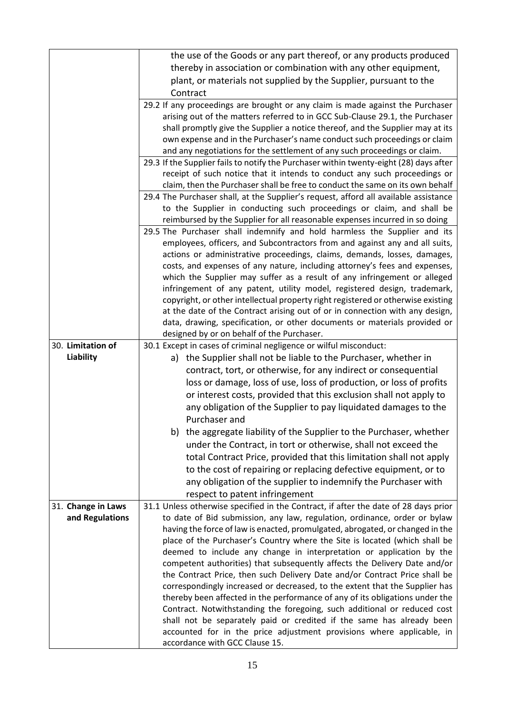|                    | the use of the Goods or any part thereof, or any products produced                                                                                          |  |  |  |
|--------------------|-------------------------------------------------------------------------------------------------------------------------------------------------------------|--|--|--|
|                    | thereby in association or combination with any other equipment,                                                                                             |  |  |  |
|                    | plant, or materials not supplied by the Supplier, pursuant to the                                                                                           |  |  |  |
|                    | Contract                                                                                                                                                    |  |  |  |
|                    | 29.2 If any proceedings are brought or any claim is made against the Purchaser                                                                              |  |  |  |
|                    | arising out of the matters referred to in GCC Sub-Clause 29.1, the Purchaser                                                                                |  |  |  |
|                    | shall promptly give the Supplier a notice thereof, and the Supplier may at its                                                                              |  |  |  |
|                    | own expense and in the Purchaser's name conduct such proceedings or claim                                                                                   |  |  |  |
|                    | and any negotiations for the settlement of any such proceedings or claim.                                                                                   |  |  |  |
|                    | 29.3 If the Supplier fails to notify the Purchaser within twenty-eight (28) days after                                                                      |  |  |  |
|                    | receipt of such notice that it intends to conduct any such proceedings or                                                                                   |  |  |  |
|                    | claim, then the Purchaser shall be free to conduct the same on its own behalf                                                                               |  |  |  |
|                    | 29.4 The Purchaser shall, at the Supplier's request, afford all available assistance                                                                        |  |  |  |
|                    | to the Supplier in conducting such proceedings or claim, and shall be                                                                                       |  |  |  |
|                    | reimbursed by the Supplier for all reasonable expenses incurred in so doing                                                                                 |  |  |  |
|                    | 29.5 The Purchaser shall indemnify and hold harmless the Supplier and its                                                                                   |  |  |  |
|                    | employees, officers, and Subcontractors from and against any and all suits,                                                                                 |  |  |  |
|                    | actions or administrative proceedings, claims, demands, losses, damages,                                                                                    |  |  |  |
|                    | costs, and expenses of any nature, including attorney's fees and expenses,                                                                                  |  |  |  |
|                    | which the Supplier may suffer as a result of any infringement or alleged                                                                                    |  |  |  |
|                    | infringement of any patent, utility model, registered design, trademark,                                                                                    |  |  |  |
|                    | copyright, or other intellectual property right registered or otherwise existing                                                                            |  |  |  |
|                    | at the date of the Contract arising out of or in connection with any design,                                                                                |  |  |  |
|                    | data, drawing, specification, or other documents or materials provided or                                                                                   |  |  |  |
| 30. Limitation of  | designed by or on behalf of the Purchaser.                                                                                                                  |  |  |  |
| Liability          | 30.1 Except in cases of criminal negligence or wilful misconduct:                                                                                           |  |  |  |
|                    | a) the Supplier shall not be liable to the Purchaser, whether in                                                                                            |  |  |  |
|                    | contract, tort, or otherwise, for any indirect or consequential                                                                                             |  |  |  |
|                    | loss or damage, loss of use, loss of production, or loss of profits                                                                                         |  |  |  |
|                    | or interest costs, provided that this exclusion shall not apply to                                                                                          |  |  |  |
|                    | any obligation of the Supplier to pay liquidated damages to the                                                                                             |  |  |  |
|                    | Purchaser and                                                                                                                                               |  |  |  |
|                    | b) the aggregate liability of the Supplier to the Purchaser, whether                                                                                        |  |  |  |
|                    | under the Contract, in tort or otherwise, shall not exceed the                                                                                              |  |  |  |
|                    | total Contract Price, provided that this limitation shall not apply                                                                                         |  |  |  |
|                    | to the cost of repairing or replacing defective equipment, or to                                                                                            |  |  |  |
|                    | any obligation of the supplier to indemnify the Purchaser with                                                                                              |  |  |  |
|                    | respect to patent infringement                                                                                                                              |  |  |  |
| 31. Change in Laws | 31.1 Unless otherwise specified in the Contract, if after the date of 28 days prior                                                                         |  |  |  |
| and Regulations    | to date of Bid submission, any law, regulation, ordinance, order or bylaw                                                                                   |  |  |  |
|                    | having the force of law is enacted, promulgated, abrogated, or changed in the                                                                               |  |  |  |
|                    | place of the Purchaser's Country where the Site is located (which shall be                                                                                  |  |  |  |
|                    | deemed to include any change in interpretation or application by the                                                                                        |  |  |  |
|                    | competent authorities) that subsequently affects the Delivery Date and/or                                                                                   |  |  |  |
|                    | the Contract Price, then such Delivery Date and/or Contract Price shall be                                                                                  |  |  |  |
|                    | correspondingly increased or decreased, to the extent that the Supplier has<br>thereby been affected in the performance of any of its obligations under the |  |  |  |
|                    | Contract. Notwithstanding the foregoing, such additional or reduced cost                                                                                    |  |  |  |
|                    | shall not be separately paid or credited if the same has already been                                                                                       |  |  |  |
|                    | accounted for in the price adjustment provisions where applicable, in                                                                                       |  |  |  |
|                    | accordance with GCC Clause 15.                                                                                                                              |  |  |  |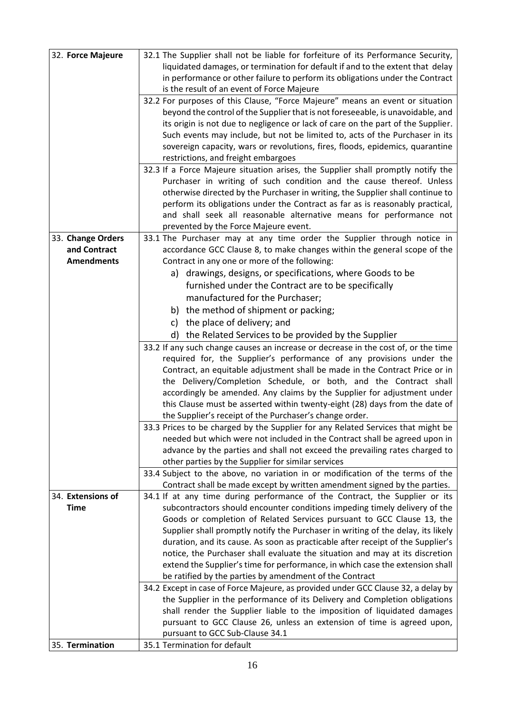| 32. Force Majeure | 32.1 The Supplier shall not be liable for forfeiture of its Performance Security,  |  |  |  |  |  |
|-------------------|------------------------------------------------------------------------------------|--|--|--|--|--|
|                   | liquidated damages, or termination for default if and to the extent that delay     |  |  |  |  |  |
|                   | in performance or other failure to perform its obligations under the Contract      |  |  |  |  |  |
|                   | is the result of an event of Force Majeure                                         |  |  |  |  |  |
|                   | 32.2 For purposes of this Clause, "Force Majeure" means an event or situation      |  |  |  |  |  |
|                   | beyond the control of the Supplier that is not foreseeable, is unavoidable, and    |  |  |  |  |  |
|                   | its origin is not due to negligence or lack of care on the part of the Supplier.   |  |  |  |  |  |
|                   | Such events may include, but not be limited to, acts of the Purchaser in its       |  |  |  |  |  |
|                   | sovereign capacity, wars or revolutions, fires, floods, epidemics, quarantine      |  |  |  |  |  |
|                   |                                                                                    |  |  |  |  |  |
|                   | restrictions, and freight embargoes                                                |  |  |  |  |  |
|                   | 32.3 If a Force Majeure situation arises, the Supplier shall promptly notify the   |  |  |  |  |  |
|                   | Purchaser in writing of such condition and the cause thereof. Unless               |  |  |  |  |  |
|                   | otherwise directed by the Purchaser in writing, the Supplier shall continue to     |  |  |  |  |  |
|                   | perform its obligations under the Contract as far as is reasonably practical,      |  |  |  |  |  |
|                   | and shall seek all reasonable alternative means for performance not                |  |  |  |  |  |
|                   | prevented by the Force Majeure event.                                              |  |  |  |  |  |
| 33. Change Orders | 33.1 The Purchaser may at any time order the Supplier through notice in            |  |  |  |  |  |
| and Contract      | accordance GCC Clause 8, to make changes within the general scope of the           |  |  |  |  |  |
| <b>Amendments</b> | Contract in any one or more of the following:                                      |  |  |  |  |  |
|                   | a) drawings, designs, or specifications, where Goods to be                         |  |  |  |  |  |
|                   |                                                                                    |  |  |  |  |  |
|                   | furnished under the Contract are to be specifically                                |  |  |  |  |  |
|                   | manufactured for the Purchaser;                                                    |  |  |  |  |  |
|                   | b) the method of shipment or packing;                                              |  |  |  |  |  |
|                   | c) the place of delivery; and                                                      |  |  |  |  |  |
|                   | d) the Related Services to be provided by the Supplier                             |  |  |  |  |  |
|                   |                                                                                    |  |  |  |  |  |
|                   | 33.2 If any such change causes an increase or decrease in the cost of, or the time |  |  |  |  |  |
|                   | required for, the Supplier's performance of any provisions under the               |  |  |  |  |  |
|                   | Contract, an equitable adjustment shall be made in the Contract Price or in        |  |  |  |  |  |
|                   | the Delivery/Completion Schedule, or both, and the Contract shall                  |  |  |  |  |  |
|                   | accordingly be amended. Any claims by the Supplier for adjustment under            |  |  |  |  |  |
|                   | this Clause must be asserted within twenty-eight (28) days from the date of        |  |  |  |  |  |
|                   | the Supplier's receipt of the Purchaser's change order.                            |  |  |  |  |  |
|                   | 33.3 Prices to be charged by the Supplier for any Related Services that might be   |  |  |  |  |  |
|                   | needed but which were not included in the Contract shall be agreed upon in         |  |  |  |  |  |
|                   | advance by the parties and shall not exceed the prevailing rates charged to        |  |  |  |  |  |
|                   | other parties by the Supplier for similar services                                 |  |  |  |  |  |
|                   | 33.4 Subject to the above, no variation in or modification of the terms of the     |  |  |  |  |  |
|                   | Contract shall be made except by written amendment signed by the parties.          |  |  |  |  |  |
| 34. Extensions of | 34.1 If at any time during performance of the Contract, the Supplier or its        |  |  |  |  |  |
| Time              | subcontractors should encounter conditions impeding timely delivery of the         |  |  |  |  |  |
|                   | Goods or completion of Related Services pursuant to GCC Clause 13, the             |  |  |  |  |  |
|                   |                                                                                    |  |  |  |  |  |
|                   | Supplier shall promptly notify the Purchaser in writing of the delay, its likely   |  |  |  |  |  |
|                   | duration, and its cause. As soon as practicable after receipt of the Supplier's    |  |  |  |  |  |
|                   | notice, the Purchaser shall evaluate the situation and may at its discretion       |  |  |  |  |  |
|                   | extend the Supplier's time for performance, in which case the extension shall      |  |  |  |  |  |
|                   | be ratified by the parties by amendment of the Contract                            |  |  |  |  |  |
|                   | 34.2 Except in case of Force Majeure, as provided under GCC Clause 32, a delay by  |  |  |  |  |  |
|                   | the Supplier in the performance of its Delivery and Completion obligations         |  |  |  |  |  |
|                   | shall render the Supplier liable to the imposition of liquidated damages           |  |  |  |  |  |
|                   | pursuant to GCC Clause 26, unless an extension of time is agreed upon,             |  |  |  |  |  |
|                   | pursuant to GCC Sub-Clause 34.1                                                    |  |  |  |  |  |
|                   | 35.1 Termination for default                                                       |  |  |  |  |  |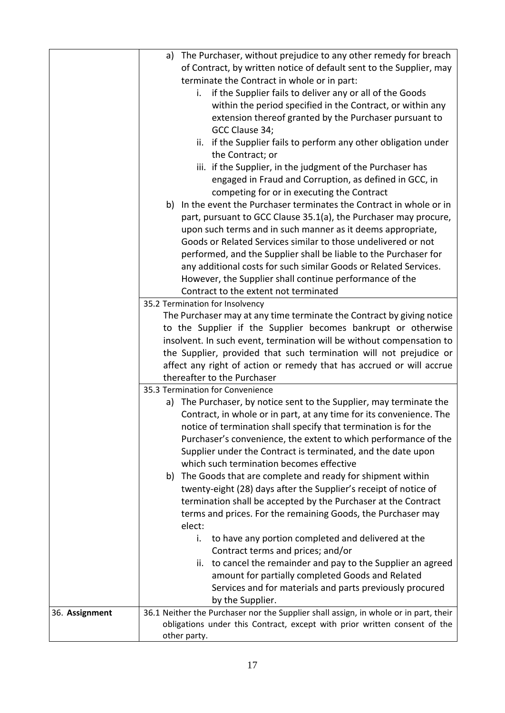|                | a) The Purchaser, without prejudice to any other remedy for breach                   |  |  |  |
|----------------|--------------------------------------------------------------------------------------|--|--|--|
|                | of Contract, by written notice of default sent to the Supplier, may                  |  |  |  |
|                | terminate the Contract in whole or in part:                                          |  |  |  |
|                | if the Supplier fails to deliver any or all of the Goods<br>i.                       |  |  |  |
|                | within the period specified in the Contract, or within any                           |  |  |  |
|                | extension thereof granted by the Purchaser pursuant to                               |  |  |  |
|                | GCC Clause 34;                                                                       |  |  |  |
|                | ii. if the Supplier fails to perform any other obligation under                      |  |  |  |
|                | the Contract; or                                                                     |  |  |  |
|                |                                                                                      |  |  |  |
|                | iii. if the Supplier, in the judgment of the Purchaser has                           |  |  |  |
|                | engaged in Fraud and Corruption, as defined in GCC, in                               |  |  |  |
|                | competing for or in executing the Contract                                           |  |  |  |
|                | b) In the event the Purchaser terminates the Contract in whole or in                 |  |  |  |
|                | part, pursuant to GCC Clause 35.1(a), the Purchaser may procure,                     |  |  |  |
|                | upon such terms and in such manner as it deems appropriate,                          |  |  |  |
|                | Goods or Related Services similar to those undelivered or not                        |  |  |  |
|                | performed, and the Supplier shall be liable to the Purchaser for                     |  |  |  |
|                | any additional costs for such similar Goods or Related Services.                     |  |  |  |
|                | However, the Supplier shall continue performance of the                              |  |  |  |
|                | Contract to the extent not terminated                                                |  |  |  |
|                | 35.2 Termination for Insolvency                                                      |  |  |  |
|                | The Purchaser may at any time terminate the Contract by giving notice                |  |  |  |
|                | to the Supplier if the Supplier becomes bankrupt or otherwise                        |  |  |  |
|                | insolvent. In such event, termination will be without compensation to                |  |  |  |
|                | the Supplier, provided that such termination will not prejudice or                   |  |  |  |
|                | affect any right of action or remedy that has accrued or will accrue                 |  |  |  |
|                | thereafter to the Purchaser                                                          |  |  |  |
|                | 35.3 Termination for Convenience                                                     |  |  |  |
|                | a) The Purchaser, by notice sent to the Supplier, may terminate the                  |  |  |  |
|                | Contract, in whole or in part, at any time for its convenience. The                  |  |  |  |
|                | notice of termination shall specify that termination is for the                      |  |  |  |
|                | Purchaser's convenience, the extent to which performance of the                      |  |  |  |
|                | Supplier under the Contract is terminated, and the date upon                         |  |  |  |
|                | which such termination becomes effective                                             |  |  |  |
|                | The Goods that are complete and ready for shipment within<br>b)                      |  |  |  |
|                | twenty-eight (28) days after the Supplier's receipt of notice of                     |  |  |  |
|                | termination shall be accepted by the Purchaser at the Contract                       |  |  |  |
|                | terms and prices. For the remaining Goods, the Purchaser may                         |  |  |  |
|                | elect:                                                                               |  |  |  |
|                | i.<br>to have any portion completed and delivered at the                             |  |  |  |
|                | Contract terms and prices; and/or                                                    |  |  |  |
|                | ii. to cancel the remainder and pay to the Supplier an agreed                        |  |  |  |
|                | amount for partially completed Goods and Related                                     |  |  |  |
|                | Services and for materials and parts previously procured                             |  |  |  |
|                | by the Supplier.                                                                     |  |  |  |
| 36. Assignment | 36.1 Neither the Purchaser nor the Supplier shall assign, in whole or in part, their |  |  |  |
|                | obligations under this Contract, except with prior written consent of the            |  |  |  |
|                | other party.                                                                         |  |  |  |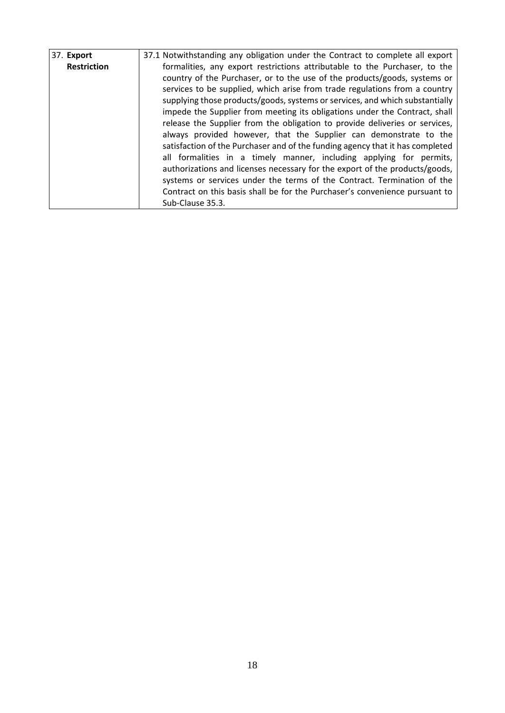| 37. Export         | 37.1 Notwithstanding any obligation under the Contract to complete all export |  |  |  |  |  |  |
|--------------------|-------------------------------------------------------------------------------|--|--|--|--|--|--|
| <b>Restriction</b> | formalities, any export restrictions attributable to the Purchaser, to the    |  |  |  |  |  |  |
|                    | country of the Purchaser, or to the use of the products/goods, systems or     |  |  |  |  |  |  |
|                    | services to be supplied, which arise from trade regulations from a country    |  |  |  |  |  |  |
|                    | supplying those products/goods, systems or services, and which substantially  |  |  |  |  |  |  |
|                    | impede the Supplier from meeting its obligations under the Contract, shall    |  |  |  |  |  |  |
|                    | release the Supplier from the obligation to provide deliveries or services,   |  |  |  |  |  |  |
|                    | always provided however, that the Supplier can demonstrate to the             |  |  |  |  |  |  |
|                    | satisfaction of the Purchaser and of the funding agency that it has completed |  |  |  |  |  |  |
|                    | all formalities in a timely manner, including applying for permits,           |  |  |  |  |  |  |
|                    | authorizations and licenses necessary for the export of the products/goods,   |  |  |  |  |  |  |
|                    | systems or services under the terms of the Contract. Termination of the       |  |  |  |  |  |  |
|                    | Contract on this basis shall be for the Purchaser's convenience pursuant to   |  |  |  |  |  |  |
|                    | Sub-Clause 35.3.                                                              |  |  |  |  |  |  |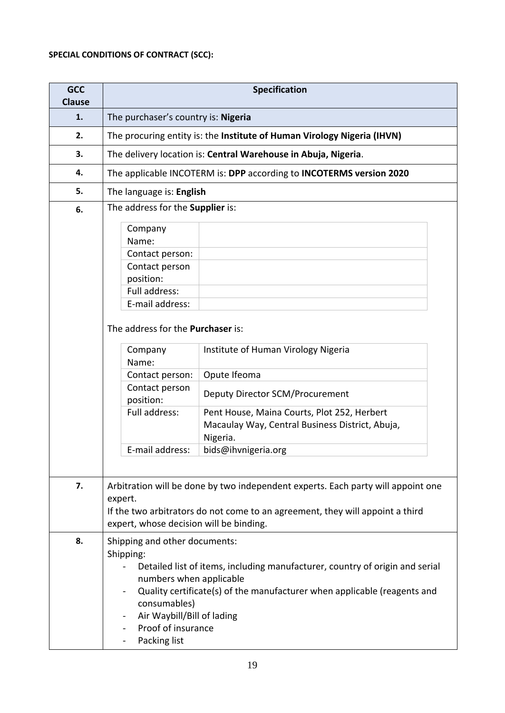# **SPECIAL CONDITIONS OF CONTRACT (SCC):**

| <b>GCC</b><br><b>Clause</b> | <b>Specification</b>                                                                                                                                                                                                                                                                                                                                                        |  |  |  |
|-----------------------------|-----------------------------------------------------------------------------------------------------------------------------------------------------------------------------------------------------------------------------------------------------------------------------------------------------------------------------------------------------------------------------|--|--|--|
| 1.                          | The purchaser's country is: Nigeria                                                                                                                                                                                                                                                                                                                                         |  |  |  |
| 2.                          | The procuring entity is: the Institute of Human Virology Nigeria (IHVN)                                                                                                                                                                                                                                                                                                     |  |  |  |
| 3.                          | The delivery location is: Central Warehouse in Abuja, Nigeria.                                                                                                                                                                                                                                                                                                              |  |  |  |
| 4.                          | The applicable INCOTERM is: DPP according to INCOTERMS version 2020                                                                                                                                                                                                                                                                                                         |  |  |  |
| 5.                          | The language is: English                                                                                                                                                                                                                                                                                                                                                    |  |  |  |
| 6.                          | The address for the Supplier is:                                                                                                                                                                                                                                                                                                                                            |  |  |  |
|                             | Company<br>Name:<br>Contact person:<br>Contact person<br>position:<br>Full address:<br>E-mail address:<br>The address for the Purchaser is:<br>Company<br>Institute of Human Virology Nigeria<br>Name:<br>Opute Ifeoma<br>Contact person:<br>Contact person<br>Deputy Director SCM/Procurement<br>position:<br>Full address:<br>Pent House, Maina Courts, Plot 252, Herbert |  |  |  |
|                             | Macaulay Way, Central Business District, Abuja,<br>Nigeria.<br>E-mail address:<br>bids@ihvnigeria.org                                                                                                                                                                                                                                                                       |  |  |  |
| 7.                          | Arbitration will be done by two independent experts. Each party will appoint one<br>expert.<br>If the two arbitrators do not come to an agreement, they will appoint a third<br>expert, whose decision will be binding.                                                                                                                                                     |  |  |  |
| 8.                          | Shipping and other documents:<br>Shipping:<br>Detailed list of items, including manufacturer, country of origin and serial<br>numbers when applicable<br>Quality certificate(s) of the manufacturer when applicable (reagents and<br>consumables)<br>Air Waybill/Bill of lading<br>Proof of insurance<br>Packing list                                                       |  |  |  |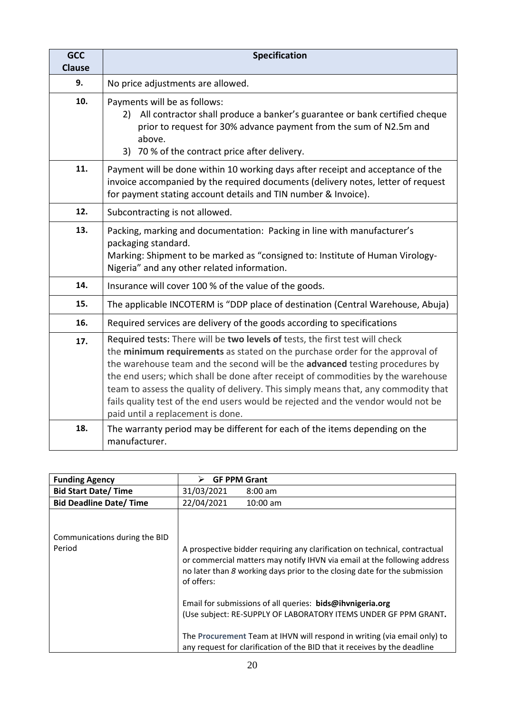| <b>GCC</b><br><b>Clause</b> | <b>Specification</b>                                                                                                                                                                                                                                                                                                                                                                                                                                                                                                                             |  |  |  |
|-----------------------------|--------------------------------------------------------------------------------------------------------------------------------------------------------------------------------------------------------------------------------------------------------------------------------------------------------------------------------------------------------------------------------------------------------------------------------------------------------------------------------------------------------------------------------------------------|--|--|--|
| 9.                          | No price adjustments are allowed.                                                                                                                                                                                                                                                                                                                                                                                                                                                                                                                |  |  |  |
| 10.                         | Payments will be as follows:<br>All contractor shall produce a banker's guarantee or bank certified cheque<br>2)<br>prior to request for 30% advance payment from the sum of N2.5m and<br>above.<br>70 % of the contract price after delivery.<br>3)                                                                                                                                                                                                                                                                                             |  |  |  |
| 11.                         | Payment will be done within 10 working days after receipt and acceptance of the<br>invoice accompanied by the required documents (delivery notes, letter of request<br>for payment stating account details and TIN number & Invoice).                                                                                                                                                                                                                                                                                                            |  |  |  |
| 12.                         | Subcontracting is not allowed.                                                                                                                                                                                                                                                                                                                                                                                                                                                                                                                   |  |  |  |
| 13.                         | Packing, marking and documentation: Packing in line with manufacturer's<br>packaging standard.<br>Marking: Shipment to be marked as "consigned to: Institute of Human Virology-<br>Nigeria" and any other related information.                                                                                                                                                                                                                                                                                                                   |  |  |  |
| 14.                         | Insurance will cover 100 % of the value of the goods.                                                                                                                                                                                                                                                                                                                                                                                                                                                                                            |  |  |  |
| 15.                         | The applicable INCOTERM is "DDP place of destination (Central Warehouse, Abuja)                                                                                                                                                                                                                                                                                                                                                                                                                                                                  |  |  |  |
| 16.                         | Required services are delivery of the goods according to specifications                                                                                                                                                                                                                                                                                                                                                                                                                                                                          |  |  |  |
| 17.                         | Required tests: There will be two levels of tests, the first test will check<br>the minimum requirements as stated on the purchase order for the approval of<br>the warehouse team and the second will be the advanced testing procedures by<br>the end users; which shall be done after receipt of commodities by the warehouse<br>team to assess the quality of delivery. This simply means that, any commodity that<br>fails quality test of the end users would be rejected and the vendor would not be<br>paid until a replacement is done. |  |  |  |
| 18.                         | The warranty period may be different for each of the items depending on the<br>manufacturer.                                                                                                                                                                                                                                                                                                                                                                                                                                                     |  |  |  |

| <b>Funding Agency</b>         | <b>GF PPM Grant</b><br>⋗                                                                                                                                                                                                                          |  |  |
|-------------------------------|---------------------------------------------------------------------------------------------------------------------------------------------------------------------------------------------------------------------------------------------------|--|--|
| <b>Bid Start Date/Time</b>    | 31/03/2021<br>$8:00 \text{ am}$                                                                                                                                                                                                                   |  |  |
| <b>Bid Deadline Date/Time</b> | 22/04/2021<br>$10:00$ am                                                                                                                                                                                                                          |  |  |
| Communications during the BID |                                                                                                                                                                                                                                                   |  |  |
| Period                        | A prospective bidder requiring any clarification on technical, contractual<br>or commercial matters may notify IHVN via email at the following address<br>no later than 8 working days prior to the closing date for the submission<br>of offers: |  |  |
|                               | Email for submissions of all queries: bids@ihvnigeria.org<br>(Use subject: RE-SUPPLY OF LABORATORY ITEMS UNDER GF PPM GRANT.                                                                                                                      |  |  |
|                               | The Procurement Team at IHVN will respond in writing (via email only) to<br>any request for clarification of the BID that it receives by the deadline                                                                                             |  |  |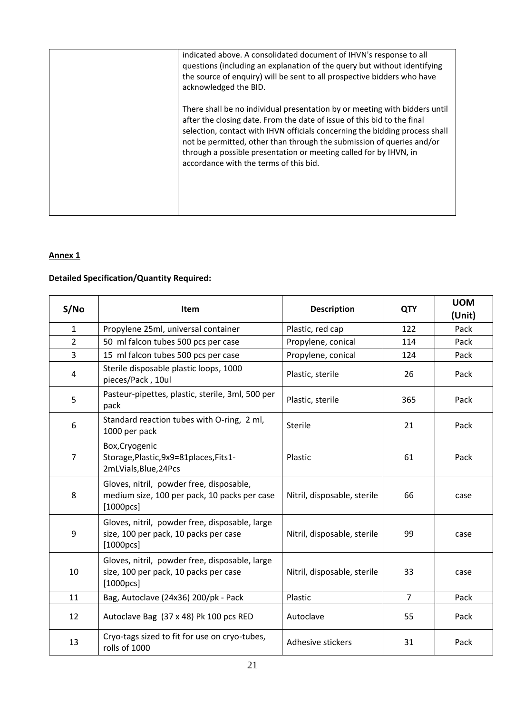| indicated above. A consolidated document of IHVN's response to all<br>questions (including an explanation of the query but without identifying<br>the source of enquiry) will be sent to all prospective bidders who have<br>acknowledged the BID.                                                                                                                                                                           |
|------------------------------------------------------------------------------------------------------------------------------------------------------------------------------------------------------------------------------------------------------------------------------------------------------------------------------------------------------------------------------------------------------------------------------|
| There shall be no individual presentation by or meeting with bidders until<br>after the closing date. From the date of issue of this bid to the final<br>selection, contact with IHVN officials concerning the bidding process shall<br>not be permitted, other than through the submission of queries and/or<br>through a possible presentation or meeting called for by IHVN, in<br>accordance with the terms of this bid. |

#### **Annex 1**

# **Detailed Specification/Quantity Required:**

| S/No           | <b>Item</b>                                                                                           | <b>Description</b>          | <b>QTY</b>     | <b>UOM</b><br>(Unit) |
|----------------|-------------------------------------------------------------------------------------------------------|-----------------------------|----------------|----------------------|
| $\mathbf{1}$   | Propylene 25ml, universal container                                                                   | Plastic, red cap            | 122            | Pack                 |
| $\overline{2}$ | 50 ml falcon tubes 500 pcs per case                                                                   | Propylene, conical          | 114            | Pack                 |
| $\overline{3}$ | 15 ml falcon tubes 500 pcs per case                                                                   | Propylene, conical          | 124            | Pack                 |
| 4              | Sterile disposable plastic loops, 1000<br>pieces/Pack, 10ul                                           | Plastic, sterile            | 26             | Pack                 |
| 5              | Pasteur-pipettes, plastic, sterile, 3ml, 500 per<br>pack                                              | Plastic, sterile            | 365            | Pack                 |
| 6              | Standard reaction tubes with O-ring, 2 ml,<br>1000 per pack                                           | Sterile                     | 21             | Pack                 |
| $\overline{7}$ | Box, Cryogenic<br>Storage, Plastic, 9x9=81places, Fits1-<br>2mLVials, Blue, 24Pcs                     | Plastic                     | 61             | Pack                 |
| 8              | Gloves, nitril, powder free, disposable,<br>medium size, 100 per pack, 10 packs per case<br>[1000pcs] | Nitril, disposable, sterile | 66             | case                 |
| 9              | Gloves, nitril, powder free, disposable, large<br>size, 100 per pack, 10 packs per case<br>[1000pcs]  | Nitril, disposable, sterile | 99             | case                 |
| 10             | Gloves, nitril, powder free, disposable, large<br>size, 100 per pack, 10 packs per case<br>[1000pcs]  | Nitril, disposable, sterile | 33             | case                 |
| 11             | Bag, Autoclave (24x36) 200/pk - Pack                                                                  | Plastic                     | $\overline{7}$ | Pack                 |
| 12             | Autoclave Bag (37 x 48) Pk 100 pcs RED                                                                | Autoclave                   | 55             | Pack                 |
| 13             | Cryo-tags sized to fit for use on cryo-tubes,<br>rolls of 1000                                        | Adhesive stickers           | 31             | Pack                 |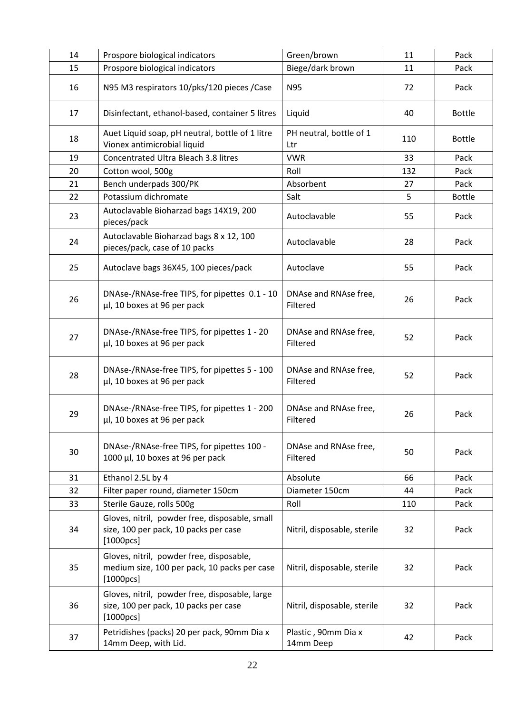| 14 | Prospore biological indicators                                                                        | Green/brown                       | 11  | Pack          |
|----|-------------------------------------------------------------------------------------------------------|-----------------------------------|-----|---------------|
| 15 | Prospore biological indicators                                                                        | Biege/dark brown                  | 11  | Pack          |
| 16 | N95 M3 respirators 10/pks/120 pieces / Case                                                           | N95                               | 72  | Pack          |
| 17 | Disinfectant, ethanol-based, container 5 litres                                                       | Liquid                            | 40  | <b>Bottle</b> |
| 18 | Auet Liquid soap, pH neutral, bottle of 1 litre<br>Vionex antimicrobial liquid                        | PH neutral, bottle of 1<br>Ltr    | 110 | <b>Bottle</b> |
| 19 | Concentrated Ultra Bleach 3.8 litres                                                                  | <b>VWR</b>                        | 33  | Pack          |
| 20 | Cotton wool, 500g                                                                                     | Roll                              | 132 | Pack          |
| 21 | Bench underpads 300/PK                                                                                | Absorbent                         | 27  | Pack          |
| 22 | Potassium dichromate                                                                                  | Salt                              | 5   | <b>Bottle</b> |
| 23 | Autoclavable Bioharzad bags 14X19, 200<br>pieces/pack                                                 | Autoclavable                      | 55  | Pack          |
| 24 | Autoclavable Bioharzad bags 8 x 12, 100<br>pieces/pack, case of 10 packs                              | Autoclavable                      | 28  | Pack          |
| 25 | Autoclave bags 36X45, 100 pieces/pack                                                                 | Autoclave                         | 55  | Pack          |
| 26 | DNAse-/RNAse-free TIPS, for pipettes 0.1 - 10<br>µl, 10 boxes at 96 per pack                          | DNAse and RNAse free,<br>Filtered | 26  | Pack          |
| 27 | DNAse-/RNAse-free TIPS, for pipettes 1 - 20<br>µl, 10 boxes at 96 per pack                            | DNAse and RNAse free,<br>Filtered | 52  | Pack          |
| 28 | DNAse-/RNAse-free TIPS, for pipettes 5 - 100<br>µl, 10 boxes at 96 per pack                           | DNAse and RNAse free,<br>Filtered | 52  | Pack          |
| 29 | DNAse-/RNAse-free TIPS, for pipettes 1 - 200<br>µl, 10 boxes at 96 per pack                           | DNAse and RNAse free,<br>Filtered | 26  | Pack          |
| 30 | DNAse-/RNAse-free TIPS, for pipettes 100 -<br>1000 µl, 10 boxes at 96 per pack                        | DNAse and RNAse free,<br>Filtered | 50  | Pack          |
| 31 | Ethanol 2.5L by 4                                                                                     | Absolute                          | 66  | Pack          |
| 32 | Filter paper round, diameter 150cm                                                                    | Diameter 150cm                    | 44  | Pack          |
| 33 | Sterile Gauze, rolls 500g                                                                             | Roll                              | 110 | Pack          |
| 34 | Gloves, nitril, powder free, disposable, small<br>size, 100 per pack, 10 packs per case<br>[1000pcs]  | Nitril, disposable, sterile       | 32  | Pack          |
| 35 | Gloves, nitril, powder free, disposable,<br>medium size, 100 per pack, 10 packs per case<br>[1000pcs] | Nitril, disposable, sterile       | 32  | Pack          |
| 36 | Gloves, nitril, powder free, disposable, large<br>size, 100 per pack, 10 packs per case<br>[1000pcs]  | Nitril, disposable, sterile       | 32  | Pack          |
| 37 | Petridishes (packs) 20 per pack, 90mm Dia x<br>14mm Deep, with Lid.                                   | Plastic, 90mm Dia x<br>14mm Deep  | 42  | Pack          |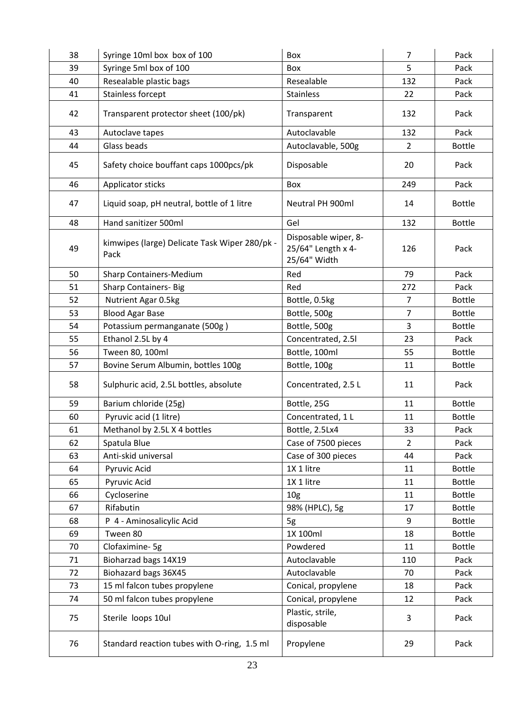| 38 | Syringe 10ml box box of 100                           | Box                                                        | $\overline{7}$ | Pack          |
|----|-------------------------------------------------------|------------------------------------------------------------|----------------|---------------|
| 39 | Syringe 5ml box of 100                                | Box                                                        | 5              | Pack          |
| 40 | Resealable plastic bags                               | Resealable                                                 | 132            | Pack          |
| 41 | Stainless forcept                                     | Stainless                                                  | 22             | Pack          |
| 42 | Transparent protector sheet (100/pk)                  | Transparent                                                | 132            | Pack          |
| 43 | Autoclave tapes                                       | Autoclavable                                               | 132            | Pack          |
| 44 | Glass beads                                           | Autoclavable, 500g                                         | 2              | <b>Bottle</b> |
| 45 | Safety choice bouffant caps 1000pcs/pk                | Disposable                                                 | 20             | Pack          |
| 46 | Applicator sticks                                     | Box                                                        | 249            | Pack          |
| 47 | Liquid soap, pH neutral, bottle of 1 litre            | Neutral PH 900ml                                           | 14             | <b>Bottle</b> |
| 48 | Hand sanitizer 500ml                                  | Gel                                                        | 132            | <b>Bottle</b> |
| 49 | kimwipes (large) Delicate Task Wiper 280/pk -<br>Pack | Disposable wiper, 8-<br>25/64" Length x 4-<br>25/64" Width | 126            | Pack          |
| 50 | Sharp Containers-Medium                               | Red                                                        | 79             | Pack          |
| 51 | <b>Sharp Containers-Big</b>                           | Red                                                        | 272            | Pack          |
| 52 | Nutrient Agar 0.5kg                                   | Bottle, 0.5kg                                              | $\overline{7}$ | <b>Bottle</b> |
| 53 | <b>Blood Agar Base</b>                                | Bottle, 500g                                               | $\overline{7}$ | <b>Bottle</b> |
| 54 | Potassium permanganate (500g)                         | Bottle, 500g                                               | 3              | <b>Bottle</b> |
| 55 | Ethanol 2.5L by 4                                     | Concentrated, 2.51                                         | 23             | Pack          |
| 56 | Tween 80, 100ml                                       | Bottle, 100ml                                              | 55             | <b>Bottle</b> |
| 57 | Bovine Serum Albumin, bottles 100g                    | Bottle, 100g                                               | 11             | <b>Bottle</b> |
| 58 | Sulphuric acid, 2.5L bottles, absolute                | Concentrated, 2.5 L                                        | 11             | Pack          |
| 59 | Barium chloride (25g)                                 | Bottle, 25G                                                | 11             | <b>Bottle</b> |
| 60 | Pyruvic acid (1 litre)                                | Concentrated, 1 L                                          | 11             | <b>Bottle</b> |
| 61 | Methanol by 2.5L X 4 bottles                          | Bottle, 2.5Lx4                                             | 33             | Pack          |
| 62 | Spatula Blue                                          | Case of 7500 pieces                                        | 2              | Pack          |
| 63 | Anti-skid universal                                   | Case of 300 pieces                                         | 44             | Pack          |
| 64 | Pyruvic Acid                                          | 1X 1 litre                                                 | 11             | <b>Bottle</b> |
| 65 | Pyruvic Acid                                          | 1X 1 litre                                                 | 11             | <b>Bottle</b> |
| 66 | Cycloserine                                           | 10 <sub>g</sub>                                            | 11             | <b>Bottle</b> |
| 67 | Rifabutin                                             | 98% (HPLC), 5g                                             | 17             | <b>Bottle</b> |
| 68 | P 4 - Aminosalicylic Acid                             | 5g                                                         | 9              | <b>Bottle</b> |
| 69 | Tween 80                                              | 1X 100ml                                                   | 18             | <b>Bottle</b> |
| 70 | Clofaximine-5g                                        | Powdered                                                   | 11             | <b>Bottle</b> |
| 71 | Bioharzad bags 14X19                                  | Autoclavable                                               | 110            | Pack          |
| 72 | Biohazard bags 36X45                                  | Autoclavable                                               | 70             | Pack          |
| 73 | 15 ml falcon tubes propylene                          | Conical, propylene                                         | 18             | Pack          |
| 74 | 50 ml falcon tubes propylene                          | Conical, propylene                                         | 12             | Pack          |
| 75 | Sterile loops 10ul                                    | Plastic, strile,<br>disposable                             | 3              | Pack          |
| 76 | Standard reaction tubes with O-ring, 1.5 ml           | Propylene                                                  | 29             | Pack          |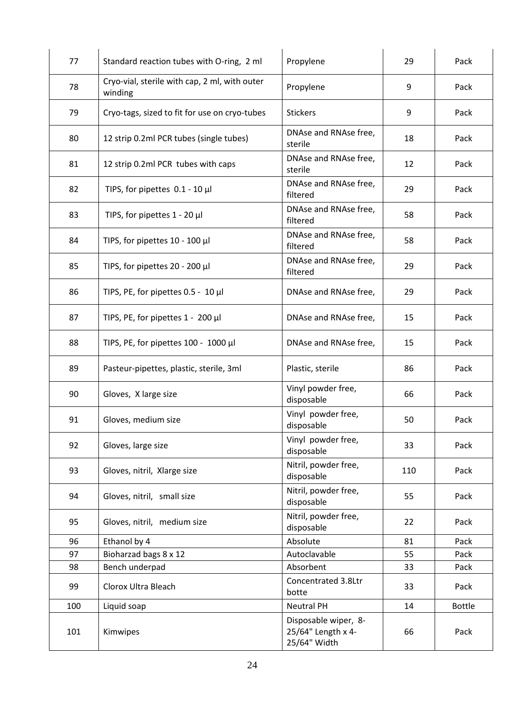| 77  | Standard reaction tubes with O-ring, 2 ml                | Propylene                                                  | 29  | Pack          |
|-----|----------------------------------------------------------|------------------------------------------------------------|-----|---------------|
| 78  | Cryo-vial, sterile with cap, 2 ml, with outer<br>winding | Propylene                                                  | 9   | Pack          |
| 79  | Cryo-tags, sized to fit for use on cryo-tubes            | <b>Stickers</b>                                            | 9   | Pack          |
| 80  | 12 strip 0.2ml PCR tubes (single tubes)                  | DNAse and RNAse free,<br>sterile                           | 18  | Pack          |
| 81  | 12 strip 0.2ml PCR tubes with caps                       | DNAse and RNAse free,<br>sterile                           | 12  | Pack          |
| 82  | TIPS, for pipettes $0.1 - 10 \mu l$                      | DNAse and RNAse free,<br>filtered                          | 29  | Pack          |
| 83  | TIPS, for pipettes $1 - 20$ µl                           | DNAse and RNAse free,<br>filtered                          | 58  | Pack          |
| 84  | TIPS, for pipettes 10 - 100 µl                           | DNAse and RNAse free,<br>filtered                          | 58  | Pack          |
| 85  | TIPS, for pipettes 20 - 200 µl                           | DNAse and RNAse free,<br>filtered                          | 29  | Pack          |
| 86  | TIPS, PE, for pipettes 0.5 - 10 µl                       | DNAse and RNAse free,                                      | 29  | Pack          |
| 87  | TIPS, PE, for pipettes $1 - 200 \mu l$                   | DNAse and RNAse free,                                      | 15  | Pack          |
| 88  | TIPS, PE, for pipettes 100 - 1000 µl                     | DNAse and RNAse free,                                      | 15  | Pack          |
| 89  | Pasteur-pipettes, plastic, sterile, 3ml                  | Plastic, sterile                                           | 86  | Pack          |
| 90  | Gloves, X large size                                     | Vinyl powder free,<br>disposable                           | 66  | Pack          |
| 91  | Gloves, medium size                                      | Vinyl powder free,<br>disposable                           | 50  | Pack          |
| 92  | Gloves, large size                                       | Vinyl powder free,<br>disposable                           | 33  | Pack          |
| 93  | Gloves, nitril, Xlarge size                              | Nitril, powder free,<br>disposable                         | 110 | Pack          |
| 94  | Gloves, nitril, small size                               | Nitril, powder free,<br>disposable                         | 55  | Pack          |
| 95  | Gloves, nitril, medium size                              | Nitril, powder free,<br>disposable                         | 22  | Pack          |
| 96  | Ethanol by 4                                             | Absolute                                                   | 81  | Pack          |
| 97  | Bioharzad bags 8 x 12                                    | Autoclavable                                               | 55  | Pack          |
| 98  | Bench underpad                                           | Absorbent                                                  | 33  | Pack          |
| 99  | Clorox Ultra Bleach                                      | Concentrated 3.8Ltr<br>botte                               | 33  | Pack          |
| 100 | Liquid soap                                              | <b>Neutral PH</b>                                          | 14  | <b>Bottle</b> |
| 101 | Kimwipes                                                 | Disposable wiper, 8-<br>25/64" Length x 4-<br>25/64" Width | 66  | Pack          |